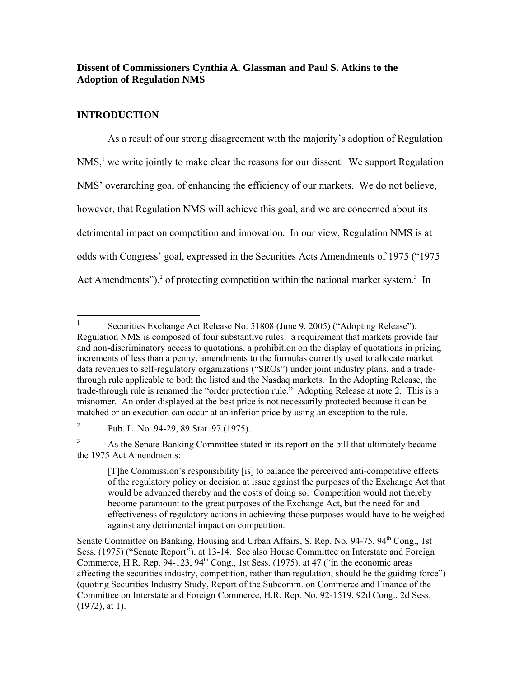# **Dissent of Commissioners Cynthia A. Glassman and Paul S. Atkins to the Adoption of Regulation NMS**

# **INTRODUCTION**

 As a result of our strong disagreement with the majority's adoption of Regulation  $NMS<sub>1</sub><sup>1</sup>$  $NMS<sub>1</sub><sup>1</sup>$  $NMS<sub>1</sub><sup>1</sup>$  we write jointly to make clear the reasons for our dissent. We support Regulation NMS' overarching goal of enhancing the efficiency of our markets. We do not believe, however, that Regulation NMS will achieve this goal, and we are concerned about its detrimental impact on competition and innovation. In our view, Regulation NMS is at odds with Congress' goal, expressed in the Securities Acts Amendments of 1975 ("1975 Act Amendments"),<sup>[2](#page-0-1)</sup> of protecting competition within the national market system.<sup>[3](#page-0-2)</sup> In

<span id="page-0-0"></span> $\frac{1}{1}$  Securities Exchange Act Release No. 51808 (June 9, 2005) ("Adopting Release"). Regulation NMS is composed of four substantive rules: a requirement that markets provide fair and non-discriminatory access to quotations, a prohibition on the display of quotations in pricing increments of less than a penny, amendments to the formulas currently used to allocate market data revenues to self-regulatory organizations ("SROs") under joint industry plans, and a tradethrough rule applicable to both the listed and the Nasdaq markets. In the Adopting Release, the trade-through rule is renamed the "order protection rule." Adopting Release at note 2. This is a misnomer. An order displayed at the best price is not necessarily protected because it can be matched or an execution can occur at an inferior price by using an exception to the rule.

<span id="page-0-1"></span><sup>&</sup>lt;sup>2</sup> Pub. L. No. 94-29, 89 Stat. 97 (1975).

<span id="page-0-2"></span><sup>3</sup> As the Senate Banking Committee stated in its report on the bill that ultimately became the 1975 Act Amendments:

<sup>[</sup>T]he Commission's responsibility [is] to balance the perceived anti-competitive effects of the regulatory policy or decision at issue against the purposes of the Exchange Act that would be advanced thereby and the costs of doing so. Competition would not thereby become paramount to the great purposes of the Exchange Act, but the need for and effectiveness of regulatory actions in achieving those purposes would have to be weighed against any detrimental impact on competition.

Senate Committee on Banking, Housing and Urban Affairs, S. Rep. No. 94-75, 94<sup>th</sup> Cong., 1st Sess. (1975) ("Senate Report"), at 13-14. See also House Committee on Interstate and Foreign Commerce, H.R. Rep.  $94-123$ ,  $94<sup>th</sup>$  Cong., 1st Sess. (1975), at 47 ("in the economic areas affecting the securities industry, competition, rather than regulation, should be the guiding force") (quoting Securities Industry Study, Report of the Subcomm. on Commerce and Finance of the Committee on Interstate and Foreign Commerce, H.R. Rep. No. 92-1519, 92d Cong., 2d Sess. (1972), at 1).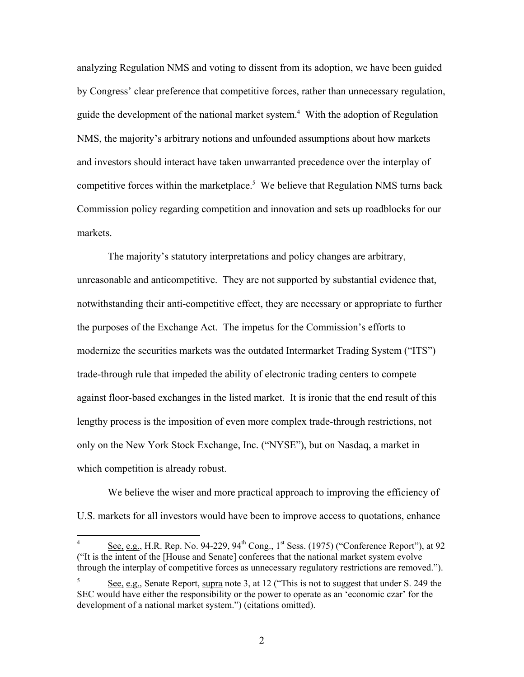analyzing Regulation NMS and voting to dissent from its adoption, we have been guided by Congress' clear preference that competitive forces, rather than unnecessary regulation, guide the development of the national market system. [4](#page-1-0) With the adoption of Regulation NMS, the majority's arbitrary notions and unfounded assumptions about how markets and investors should interact have taken unwarranted precedence over the interplay of competitive forces within the marketplace.<sup>5</sup> We believe that Regulation NMS turns back Commission policy regarding competition and innovation and sets up roadblocks for our markets.

The majority's statutory interpretations and policy changes are arbitrary, unreasonable and anticompetitive. They are not supported by substantial evidence that, notwithstanding their anti-competitive effect, they are necessary or appropriate to further the purposes of the Exchange Act. The impetus for the Commission's efforts to modernize the securities markets was the outdated Intermarket Trading System ("ITS") trade-through rule that impeded the ability of electronic trading centers to compete against floor-based exchanges in the listed market. It is ironic that the end result of this lengthy process is the imposition of even more complex trade-through restrictions, not only on the New York Stock Exchange, Inc. ("NYSE"), but on Nasdaq, a market in which competition is already robust.

We believe the wiser and more practical approach to improving the efficiency of U.S. markets for all investors would have been to improve access to quotations, enhance

1

2

<span id="page-1-0"></span><sup>4</sup> See, e.g., H.R. Rep. No. 94-229, 94<sup>th</sup> Cong., 1<sup>st</sup> Sess. (1975) ("Conference Report"), at 92 ("It is the intent of the [House and Senate] conferees that the national market system evolve through the interplay of competitive forces as unnecessary regulatory restrictions are removed.").

<span id="page-1-1"></span><sup>5</sup> See, e.g., Senate Report, supra note 3, at 12 ("This is not to suggest that under S. 249 the SEC would have either the responsibility or the power to operate as an 'economic czar' for the development of a national market system.") (citations omitted).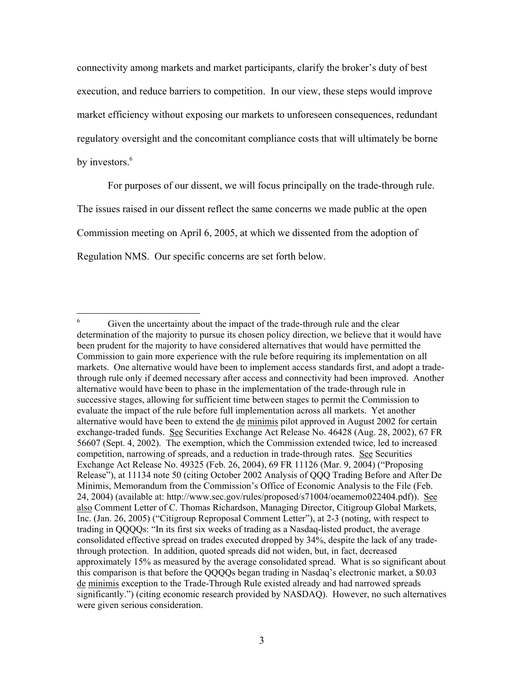connectivity among markets and market participants, clarify the broker's duty of best execution, and reduce barriers to competition. In our view, these steps would improve market efficiency without exposing our markets to unforeseen consequences, redundant regulatory oversight and the concomitant compliance costs that will ultimately be borne by investors.<sup>[6](#page-2-0)</sup>

For purposes of our dissent, we will focus principally on the trade-through rule.

The issues raised in our dissent reflect the same concerns we made public at the open

Commission meeting on April 6, 2005, at which we dissented from the adoption of

Regulation NMS. Our specific concerns are set forth below.

<span id="page-2-0"></span> 6 Given the uncertainty about the impact of the trade-through rule and the clear determination of the majority to pursue its chosen policy direction, we believe that it would have been prudent for the majority to have considered alternatives that would have permitted the Commission to gain more experience with the rule before requiring its implementation on all markets. One alternative would have been to implement access standards first, and adopt a tradethrough rule only if deemed necessary after access and connectivity had been improved. Another alternative would have been to phase in the implementation of the trade-through rule in successive stages, allowing for sufficient time between stages to permit the Commission to evaluate the impact of the rule before full implementation across all markets. Yet another alternative would have been to extend the de minimis pilot approved in August 2002 for certain exchange-traded funds. See Securities Exchange Act Release No. 46428 (Aug. 28, 2002), 67 FR 56607 (Sept. 4, 2002). The exemption, which the Commission extended twice, led to increased competition, narrowing of spreads, and a reduction in trade-through rates. See Securities Exchange Act Release No. 49325 (Feb. 26, 2004), 69 FR 11126 (Mar. 9, 2004) ("Proposing Release"), at 11134 note 50 (citing October 2002 Analysis of QQQ Trading Before and After De Minimis, Memorandum from the Commission's Office of Economic Analysis to the File (Feb. 24, 2004) (available at: http://www.sec.gov/rules/proposed/s71004/oeamemo022404.pdf)). See also Comment Letter of C. Thomas Richardson, Managing Director, Citigroup Global Markets, Inc. (Jan. 26, 2005) ("Citigroup Reproposal Comment Letter"), at 2-3 (noting, with respect to trading in QQQQs: "In its first six weeks of trading as a Nasdaq-listed product, the average consolidated effective spread on trades executed dropped by 34%, despite the lack of any tradethrough protection. In addition, quoted spreads did not widen, but, in fact, decreased approximately 15% as measured by the average consolidated spread. What is so significant about this comparison is that before the QQQQs began trading in Nasdaq's electronic market, a \$0.03 de minimis exception to the Trade-Through Rule existed already and had narrowed spreads significantly.") (citing economic research provided by NASDAQ). However, no such alternatives were given serious consideration.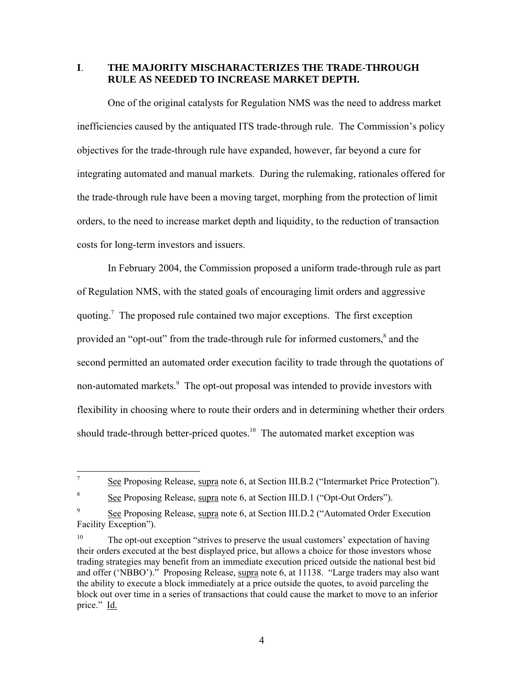**I**. **THE MAJORITY MISCHARACTERIZES THE TRADE-THROUGH RULE AS NEEDED TO INCREASE MARKET DEPTH.**

One of the original catalysts for Regulation NMS was the need to address market inefficiencies caused by the antiquated ITS trade-through rule. The Commission's policy objectives for the trade-through rule have expanded, however, far beyond a cure for integrating automated and manual markets. During the rulemaking, rationales offered for the trade-through rule have been a moving target, morphing from the protection of limit orders, to the need to increase market depth and liquidity, to the reduction of transaction costs for long-term investors and issuers.

In February 2004, the Commission proposed a uniform trade-through rule as part of Regulation NMS, with the stated goals of encouraging limit orders and aggressive quoting.[7](#page-3-0) The proposed rule contained two major exceptions. The first exception provided an "opt-out" from the trade-through rule for informed customers,<sup>[8](#page-3-1)</sup> and the second permitted an automated order execution facility to trade through the quotations of non-automated markets.<sup>[9](#page-3-2)</sup> The opt-out proposal was intended to provide investors with flexibility in choosing where to route their orders and in determining whether their orders should trade-through better-priced quotes.<sup>10</sup> The automated market exception was

4

<span id="page-3-0"></span> $\frac{1}{7}$ See Proposing Release, supra note 6, at Section III.B.2 ("Intermarket Price Protection").

<span id="page-3-1"></span><sup>8</sup> See Proposing Release, supra note 6, at Section III.D.1 ("Opt-Out Orders").

<span id="page-3-2"></span><sup>9</sup> See Proposing Release, supra note 6, at Section III.D.2 ("Automated Order Execution Facility Exception").

<span id="page-3-3"></span><sup>&</sup>lt;sup>10</sup> The opt-out exception "strives to preserve the usual customers' expectation of having their orders executed at the best displayed price, but allows a choice for those investors whose trading strategies may benefit from an immediate execution priced outside the national best bid and offer ('NBBO')." Proposing Release, supra note 6, at 11138. "Large traders may also want the ability to execute a block immediately at a price outside the quotes, to avoid parceling the block out over time in a series of transactions that could cause the market to move to an inferior price." Id.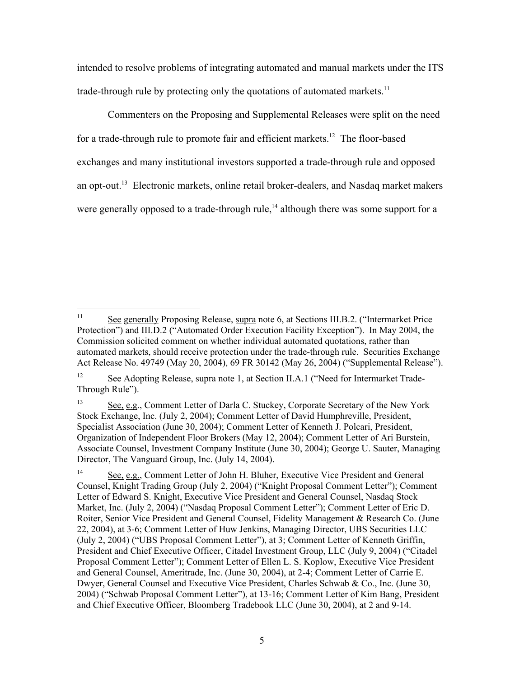intended to resolve problems of integrating automated and manual markets under the ITS trade-through rule by protecting only the quotations of automated markets.<sup>[11](#page-4-0)</sup>

Commenters on the Proposing and Supplemental Releases were split on the need for a trade-through rule to promote fair and efficient markets.<sup>12</sup> The floor-based exchanges and many institutional investors supported a trade-through rule and opposed an opt-out.<sup>13</sup> Electronic markets, online retail broker-dealers, and Nasdaq market makers were generally opposed to a trade-through rule,<sup>14</sup> although there was some support for a

<span id="page-4-0"></span> $\overline{11}$ See generally Proposing Release, supra note 6, at Sections III.B.2. ("Intermarket Price Protection") and III.D.2 ("Automated Order Execution Facility Exception"). In May 2004, the Commission solicited comment on whether individual automated quotations, rather than automated markets, should receive protection under the trade-through rule. Securities Exchange Act Release No. 49749 (May 20, 2004), 69 FR 30142 (May 26, 2004) ("Supplemental Release").

<span id="page-4-1"></span><sup>&</sup>lt;sup>12</sup> See Adopting Release, supra note 1, at Section II.A.1 ("Need for Intermarket Trade-Through Rule").

<span id="page-4-2"></span><sup>13</sup> See, e.g., Comment Letter of Darla C. Stuckey, Corporate Secretary of the New York Stock Exchange, Inc. (July 2, 2004); Comment Letter of David Humphreville, President, Specialist Association (June 30, 2004); Comment Letter of Kenneth J. Polcari, President, Organization of Independent Floor Brokers (May 12, 2004); Comment Letter of Ari Burstein, Associate Counsel, Investment Company Institute (June 30, 2004); George U. Sauter, Managing Director, The Vanguard Group, Inc. (July 14, 2004).

<span id="page-4-3"></span><sup>&</sup>lt;sup>14</sup> See, e.g., Comment Letter of John H. Bluher, Executive Vice President and General Counsel, Knight Trading Group (July 2, 2004) ("Knight Proposal Comment Letter"); Comment Letter of Edward S. Knight, Executive Vice President and General Counsel, Nasdaq Stock Market, Inc. (July 2, 2004) ("Nasdaq Proposal Comment Letter"); Comment Letter of Eric D. Roiter, Senior Vice President and General Counsel, Fidelity Management & Research Co. (June 22, 2004), at 3-6; Comment Letter of Huw Jenkins, Managing Director, UBS Securities LLC (July 2, 2004) ("UBS Proposal Comment Letter"), at 3; Comment Letter of Kenneth Griffin, President and Chief Executive Officer, Citadel Investment Group, LLC (July 9, 2004) ("Citadel Proposal Comment Letter"); Comment Letter of Ellen L. S. Koplow, Executive Vice President and General Counsel, Ameritrade, Inc. (June 30, 2004), at 2-4; Comment Letter of Carrie E. Dwyer, General Counsel and Executive Vice President, Charles Schwab & Co., Inc. (June 30, 2004) ("Schwab Proposal Comment Letter"), at 13-16; Comment Letter of Kim Bang, President and Chief Executive Officer, Bloomberg Tradebook LLC (June 30, 2004), at 2 and 9-14.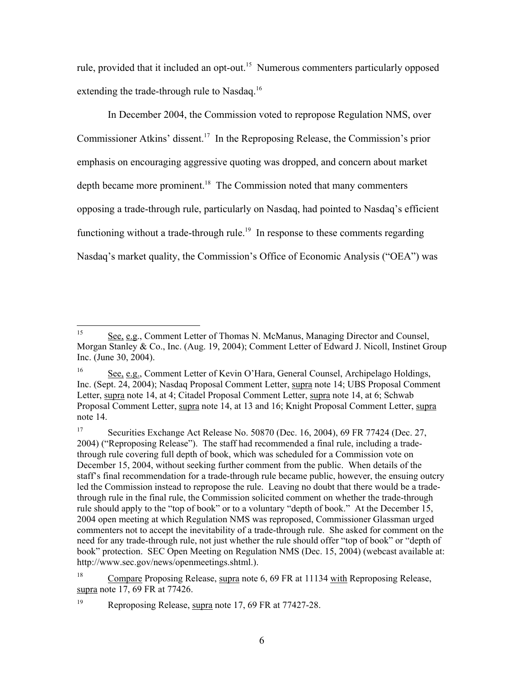rule, provided that it included an opt-out.<sup>15</sup> Numerous commenters particularly opposed extending the trade-through rule to Nasdaq.<sup>16</sup>

In December 2004, the Commission voted to repropose Regulation NMS, over Commissioner Atkins' dissent.[17](#page-5-2) In the Reproposing Release, the Commission's prior emphasis on encouraging aggressive quoting was dropped, and concern about market depth became more prominent.<sup>18</sup> The Commission noted that many commenters opposing a trade-through rule, particularly on Nasdaq, had pointed to Nasdaq's efficient functioning without a trade-through rule.<sup>19</sup> In response to these comments regarding Nasdaq's market quality, the Commission's Office of Economic Analysis ("OEA") was

<span id="page-5-0"></span><sup>15</sup> See, e.g., Comment Letter of Thomas N. McManus, Managing Director and Counsel, Morgan Stanley & Co., Inc. (Aug. 19, 2004); Comment Letter of Edward J. Nicoll, Instinet Group Inc. (June 30, 2004).

<span id="page-5-1"></span><sup>16</sup> See, e.g., Comment Letter of Kevin O'Hara, General Counsel, Archipelago Holdings, Inc. (Sept. 24, 2004); Nasdaq Proposal Comment Letter, supra note 14; UBS Proposal Comment Letter, supra note 14, at 4; Citadel Proposal Comment Letter, supra note 14, at 6; Schwab Proposal Comment Letter, supra note 14, at 13 and 16; Knight Proposal Comment Letter, supra note 14.

<span id="page-5-2"></span><sup>17</sup> Securities Exchange Act Release No. 50870 (Dec. 16, 2004), 69 FR 77424 (Dec. 27, 2004) ("Reproposing Release"). The staff had recommended a final rule, including a tradethrough rule covering full depth of book, which was scheduled for a Commission vote on December 15, 2004, without seeking further comment from the public. When details of the staff's final recommendation for a trade-through rule became public, however, the ensuing outcry led the Commission instead to repropose the rule. Leaving no doubt that there would be a tradethrough rule in the final rule, the Commission solicited comment on whether the trade-through rule should apply to the "top of book" or to a voluntary "depth of book." At the December 15, 2004 open meeting at which Regulation NMS was reproposed, Commissioner Glassman urged commenters not to accept the inevitability of a trade-through rule. She asked for comment on the need for any trade-through rule, not just whether the rule should offer "top of book" or "depth of book" protection. SEC Open Meeting on Regulation NMS (Dec. 15, 2004) (webcast available at: http://www.sec.gov/news/openmeetings.shtml.).

<span id="page-5-3"></span><sup>&</sup>lt;sup>18</sup> Compare Proposing Release, supra note 6, 69 FR at 11134 with Reproposing Release, supra note 17, 69 FR at 77426.

<span id="page-5-4"></span><sup>19</sup> Reproposing Release, supra note 17, 69 FR at 77427-28.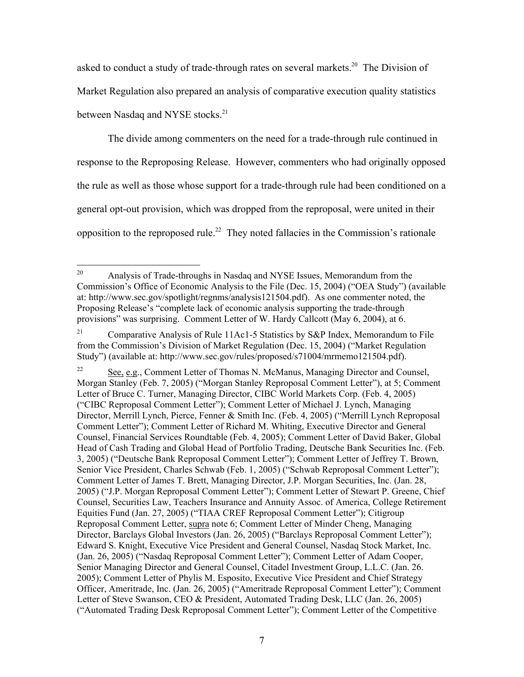asked to conduct a study of trade-through rates on several markets.<sup>20</sup> The Division of Market Regulation also prepared an analysis of comparative execution quality statistics between Nasdaq and NYSE stocks.<sup>21</sup>

The divide among commenters on the need for a trade-through rule continued in response to the Reproposing Release. However, commenters who had originally opposed the rule as well as those whose support for a trade-through rule had been conditioned on a general opt-out provision, which was dropped from the reproposal, were united in their opposition to the reproposed rule.<sup>22</sup> They noted fallacies in the Commission's rationale

<span id="page-6-0"></span><sup>20</sup> Analysis of Trade-throughs in Nasdaq and NYSE Issues, Memorandum from the Commission's Office of Economic Analysis to the File (Dec. 15, 2004) ("OEA Study") (available at: http://www.sec.gov/spotlight/regnms/analysis121504.pdf). As one commenter noted, the Proposing Release's "complete lack of economic analysis supporting the trade-through provisions" was surprising. Comment Letter of W. Hardy Callcott (May 6, 2004), at 6.

<span id="page-6-1"></span><sup>&</sup>lt;sup>21</sup> Comparative Analysis of Rule 11Ac1-5 Statistics by S&P Index, Memorandum to File from the Commission's Division of Market Regulation (Dec. 15, 2004) ("Market Regulation Study") (available at: http://www.sec.gov/rules/proposed/s71004/mrmemo121504.pdf).

<span id="page-6-2"></span><sup>&</sup>lt;sup>22</sup> See, e.g., Comment Letter of Thomas N. McManus, Managing Director and Counsel, Morgan Stanley (Feb. 7, 2005) ("Morgan Stanley Reproposal Comment Letter"), at 5; Comment Letter of Bruce C. Turner, Managing Director, CIBC World Markets Corp. (Feb. 4, 2005) ("CIBC Reproposal Comment Letter"); Comment Letter of Michael J. Lynch, Managing Director, Merrill Lynch, Pierce, Fenner & Smith Inc. (Feb. 4, 2005) ("Merrill Lynch Reproposal Comment Letter"); Comment Letter of Richard M. Whiting, Executive Director and General Counsel, Financial Services Roundtable (Feb. 4, 2005); Comment Letter of David Baker, Global Head of Cash Trading and Global Head of Portfolio Trading, Deutsche Bank Securities Inc. (Feb. 3, 2005) ("Deutsche Bank Reproposal Comment Letter"); Comment Letter of Jeffrey T. Brown, Senior Vice President, Charles Schwab (Feb. 1, 2005) ("Schwab Reproposal Comment Letter"); Comment Letter of James T. Brett, Managing Director, J.P. Morgan Securities, Inc. (Jan. 28, 2005) ("J.P. Morgan Reproposal Comment Letter"); Comment Letter of Stewart P. Greene, Chief Counsel, Securities Law, Teachers Insurance and Annuity Assoc. of America, College Retirement Equities Fund (Jan. 27, 2005) ("TIAA CREF Reproposal Comment Letter"); Citigroup Reproposal Comment Letter, supra note 6; Comment Letter of Minder Cheng, Managing Director, Barclays Global Investors (Jan. 26, 2005) ("Barclays Reproposal Comment Letter"); Edward S. Knight, Executive Vice President and General Counsel, Nasdaq Stock Market, Inc. (Jan. 26, 2005) ("Nasdaq Reproposal Comment Letter"); Comment Letter of Adam Cooper, Senior Managing Director and General Counsel, Citadel Investment Group, L.L.C. (Jan. 26. 2005); Comment Letter of Phylis M. Esposito, Executive Vice President and Chief Strategy Officer, Ameritrade, Inc. (Jan. 26, 2005) ("Ameritrade Reproposal Comment Letter"); Comment Letter of Steve Swanson, CEO & President, Automated Trading Desk, LLC (Jan. 26, 2005) ("Automated Trading Desk Reproposal Comment Letter"); Comment Letter of the Competitive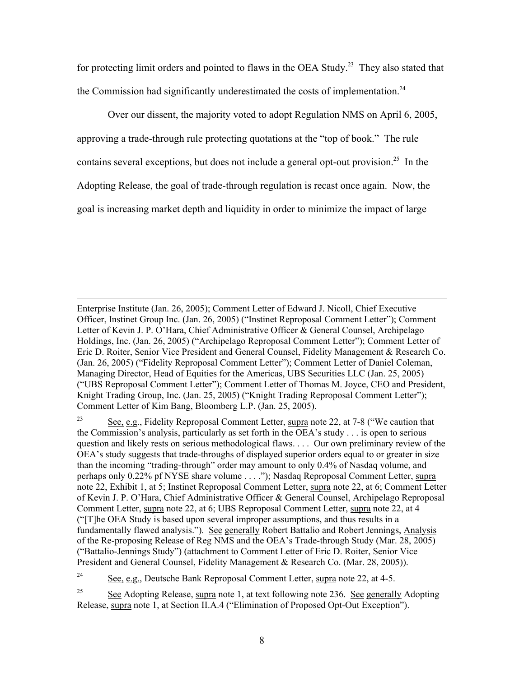for protecting limit orders and pointed to flaws in the OEA Study.<sup>23</sup> They also stated that the Commission had significantly underestimated the costs of implementation.<sup>24</sup>

Over our dissent, the majority voted to adopt Regulation NMS on April 6, 2005, approving a trade-through rule protecting quotations at the "top of book." The rule contains several exceptions, but does not include a general opt-out provision.<sup>25</sup> In the Adopting Release, the goal of trade-through regulation is recast once again. Now, the goal is increasing market depth and liquidity in order to minimize the impact of large

Enterprise Institute (Jan. 26, 2005); Comment Letter of Edward J. Nicoll, Chief Executive Officer, Instinet Group Inc. (Jan. 26, 2005) ("Instinet Reproposal Comment Letter"); Comment Letter of Kevin J. P. O'Hara, Chief Administrative Officer & General Counsel, Archipelago Holdings, Inc. (Jan. 26, 2005) ("Archipelago Reproposal Comment Letter"); Comment Letter of Eric D. Roiter, Senior Vice President and General Counsel, Fidelity Management & Research Co. (Jan. 26, 2005) ("Fidelity Reproposal Comment Letter"); Comment Letter of Daniel Coleman, Managing Director, Head of Equities for the Americas, UBS Securities LLC (Jan. 25, 2005) ("UBS Reproposal Comment Letter"); Comment Letter of Thomas M. Joyce, CEO and President, Knight Trading Group, Inc. (Jan. 25, 2005) ("Knight Trading Reproposal Comment Letter"); Comment Letter of Kim Bang, Bloomberg L.P. (Jan. 25, 2005).

<u>.</u>

<span id="page-7-0"></span><sup>23</sup> See, e.g., Fidelity Reproposal Comment Letter, supra note 22, at 7-8 ("We caution that the Commission's analysis, particularly as set forth in the OEA's study . . . is open to serious question and likely rests on serious methodological flaws. . . . Our own preliminary review of the OEA's study suggests that trade-throughs of displayed superior orders equal to or greater in size than the incoming "trading-through" order may amount to only 0.4% of Nasdaq volume, and perhaps only 0.22% pf NYSE share volume . . . ."); Nasdaq Reproposal Comment Letter, supra note 22, Exhibit 1, at 5; Instinet Reproposal Comment Letter, supra note 22, at 6; Comment Letter of Kevin J. P. O'Hara, Chief Administrative Officer & General Counsel, Archipelago Reproposal Comment Letter, supra note 22, at 6; UBS Reproposal Comment Letter, supra note 22, at 4 ("[T]he OEA Study is based upon several improper assumptions, and thus results in a fundamentally flawed analysis."). See generally Robert Battalio and Robert Jennings, Analysis of the Re-proposing Release of Reg NMS and the OEA's Trade-through Study (Mar. 28, 2005) ("Battalio-Jennings Study") (attachment to Comment Letter of Eric D. Roiter, Senior Vice President and General Counsel, Fidelity Management & Research Co. (Mar. 28, 2005)).

<span id="page-7-1"></span><sup>24</sup> See, e.g., Deutsche Bank Reproposal Comment Letter, supra note 22, at 4-5.

<span id="page-7-2"></span><sup>25</sup> See Adopting Release, supra note 1, at text following note 236. See generally Adopting Release, supra note 1, at Section II.A.4 ("Elimination of Proposed Opt-Out Exception").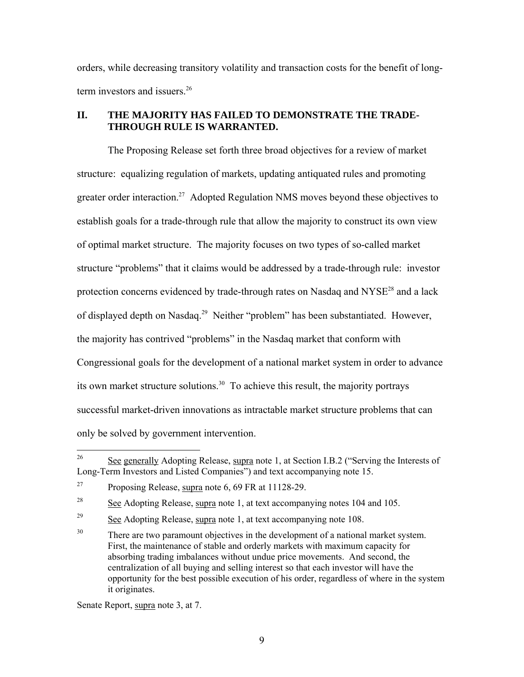orders, while decreasing transitory volatility and transaction costs for the benefit of long-term investors and issuers.<sup>[26](#page-8-0)</sup>

# **II. THE MAJORITY HAS FAILED TO DEMONSTRATE THE TRADE-THROUGH RULE IS WARRANTED.**

The Proposing Release set forth three broad objectives for a review of market structure: equalizing regulation of markets, updating antiquated rules and promoting greater order interaction.<sup>27</sup> Adopted Regulation NMS moves beyond these objectives to establish goals for a trade-through rule that allow the majority to construct its own view of optimal market structure. The majority focuses on two types of so-called market structure "problems" that it claims would be addressed by a trade-through rule: investor protection concerns evidenced by trade-through rates on Nasdaq and  $NYSE^{28}$  and a lack of displayed depth on Nasdaq.[29](#page-8-3) Neither "problem" has been substantiated. However, the majority has contrived "problems" in the Nasdaq market that conform with Congressional goals for the development of a national market system in order to advance its own market structure solutions. [30](#page-8-4) To achieve this result, the majority portrays successful market-driven innovations as intractable market structure problems that can only be solved by government intervention.

Senate Report, supra note 3, at 7.

<span id="page-8-0"></span><sup>26</sup> See generally Adopting Release, supra note 1, at Section I.B.2 ("Serving the Interests of Long-Term Investors and Listed Companies") and text accompanying note 15.

<span id="page-8-1"></span> $27$  Proposing Release, supra note 6, 69 FR at 11128-29.

<span id="page-8-2"></span> $\frac{28}{28}$  See Adopting Release, supra note 1, at text accompanying notes 104 and 105.

<span id="page-8-3"></span> $\frac{29}{2}$  See Adopting Release, supra note 1, at text accompanying note 108.

<span id="page-8-4"></span><sup>&</sup>lt;sup>30</sup> There are two paramount objectives in the development of a national market system. First, the maintenance of stable and orderly markets with maximum capacity for absorbing trading imbalances without undue price movements. And second, the centralization of all buying and selling interest so that each investor will have the opportunity for the best possible execution of his order, regardless of where in the system it originates.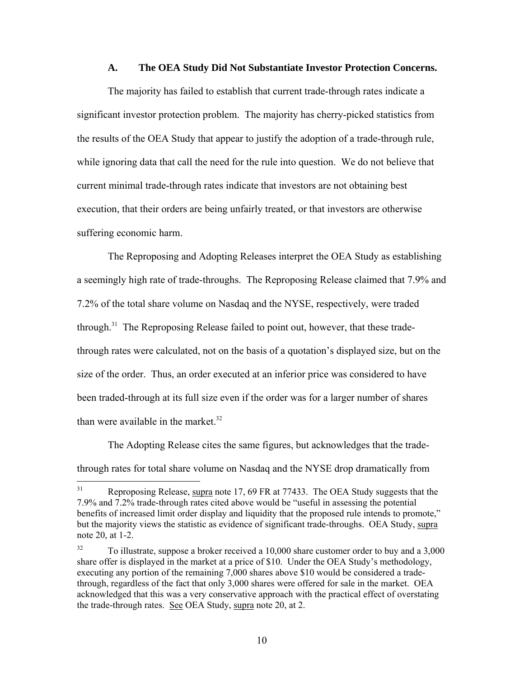#### **A. The OEA Study Did Not Substantiate Investor Protection Concerns.**

The majority has failed to establish that current trade-through rates indicate a significant investor protection problem. The majority has cherry-picked statistics from the results of the OEA Study that appear to justify the adoption of a trade-through rule, while ignoring data that call the need for the rule into question. We do not believe that current minimal trade-through rates indicate that investors are not obtaining best execution, that their orders are being unfairly treated, or that investors are otherwise suffering economic harm.

The Reproposing and Adopting Releases interpret the OEA Study as establishing a seemingly high rate of trade-throughs. The Reproposing Release claimed that 7.9% and 7.2% of the total share volume on Nasdaq and the NYSE, respectively, were traded through.<sup>31</sup> The Reproposing Release failed to point out, however, that these tradethrough rates were calculated, not on the basis of a quotation's displayed size, but on the size of the order. Thus, an order executed at an inferior price was considered to have been traded-through at its full size even if the order was for a larger number of shares than were available in the market. $32$ 

The Adopting Release cites the same figures, but acknowledges that the tradethrough rates for total share volume on Nasdaq and the NYSE drop dramatically from

<span id="page-9-0"></span> $31$ Reproposing Release, supra note 17, 69 FR at 77433. The OEA Study suggests that the 7.9% and 7.2% trade-through rates cited above would be "useful in assessing the potential benefits of increased limit order display and liquidity that the proposed rule intends to promote," but the majority views the statistic as evidence of significant trade-throughs. OEA Study, supra note 20, at 1-2.

<span id="page-9-1"></span> $32$  To illustrate, suppose a broker received a 10,000 share customer order to buy and a 3,000 share offer is displayed in the market at a price of \$10. Under the OEA Study's methodology, executing any portion of the remaining 7,000 shares above \$10 would be considered a tradethrough, regardless of the fact that only 3,000 shares were offered for sale in the market. OEA acknowledged that this was a very conservative approach with the practical effect of overstating the trade-through rates. See OEA Study, supra note 20, at 2.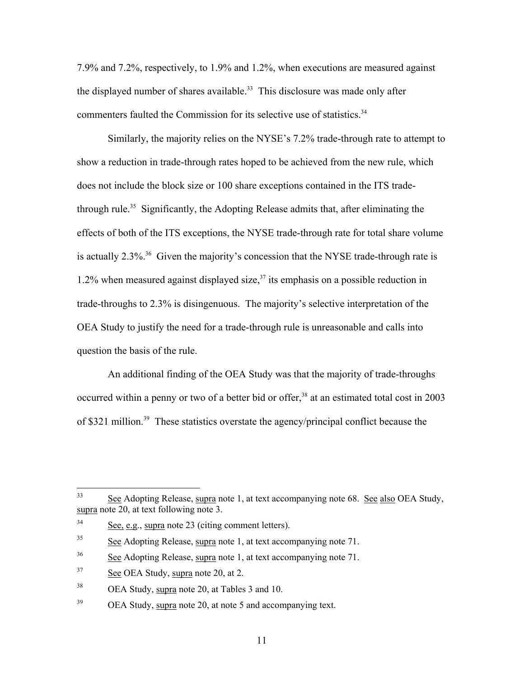7.9% and 7.2%, respectively, to 1.9% and 1.2%, when executions are measured against the displayed number of shares available.<sup>33</sup> This disclosure was made only after commenters faulted the Commission for its selective use of statistics.<sup>[34](#page-10-1)</sup>

Similarly, the majority relies on the NYSE's 7.2% trade-through rate to attempt to show a reduction in trade-through rates hoped to be achieved from the new rule, which does not include the block size or 100 share exceptions contained in the ITS tradethrough rule.[35](#page-10-2) Significantly, the Adopting Release admits that, after eliminating the effects of both of the ITS exceptions, the NYSE trade-through rate for total share volume is actually  $2.3\%$ <sup>36</sup> Given the majority's concession that the NYSE trade-through rate is 1.2% when measured against displayed size, $37$  its emphasis on a possible reduction in trade-throughs to 2.3% is disingenuous. The majority's selective interpretation of the OEA Study to justify the need for a trade-through rule is unreasonable and calls into question the basis of the rule.

An additional finding of the OEA Study was that the majority of trade-throughs occurred within a penny or two of a better bid or offer,<sup>38</sup> at an estimated total cost in 2003 of \$321 million.[39](#page-10-6) These statistics overstate the agency/principal conflict because the

<span id="page-10-0"></span> $33<sup>°</sup>$ See Adopting Release, supra note 1, at text accompanying note 68. See also OEA Study, supra note 20, at text following note 3.

<span id="page-10-1"></span><sup>34</sup> See, e.g., supra note 23 (citing comment letters).

<span id="page-10-2"></span> $35$  See Adopting Release, supra note 1, at text accompanying note 71.

<span id="page-10-3"></span><sup>36</sup> See Adopting Release, supra note 1, at text accompanying note 71.

<span id="page-10-4"></span><sup>&</sup>lt;sup>37</sup> See OEA Study, supra note 20, at 2.

<span id="page-10-5"></span><sup>38</sup> OEA Study, supra note 20, at Tables 3 and 10.

<span id="page-10-6"></span><sup>&</sup>lt;sup>39</sup> OEA Study, supra note 20, at note 5 and accompanying text.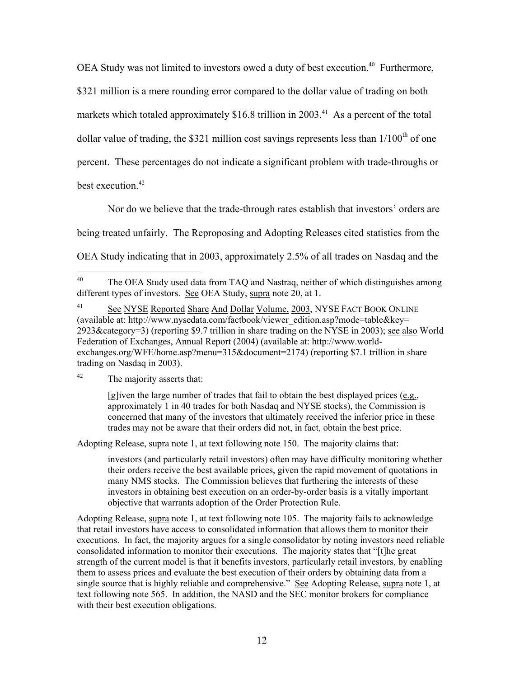OEA Study was not limited to investors owed a duty of best execution.<sup>40</sup> Furthermore, \$321 million is a mere rounding error compared to the dollar value of trading on both markets which totaled approximately \$16.8 trillion in 2003.<sup>41</sup> As a percent of the total dollar value of trading, the \$321 million cost savings represents less than  $1/100<sup>th</sup>$  of one percent. These percentages do not indicate a significant problem with trade-throughs or best execution.<sup>42</sup>

Nor do we believe that the trade-through rates establish that investors' orders are being treated unfairly. The Reproposing and Adopting Releases cited statistics from the

OEA Study indicating that in 2003, approximately 2.5% of all trades on Nasdaq and the

[g]iven the large number of trades that fail to obtain the best displayed prices  $(e.g.,)$ approximately 1 in 40 trades for both Nasdaq and NYSE stocks), the Commission is concerned that many of the investors that ultimately received the inferior price in these trades may not be aware that their orders did not, in fact, obtain the best price.

Adopting Release, supra note 1, at text following note 150. The majority claims that:

investors (and particularly retail investors) often may have difficulty monitoring whether their orders receive the best available prices, given the rapid movement of quotations in many NMS stocks. The Commission believes that furthering the interests of these investors in obtaining best execution on an order-by-order basis is a vitally important objective that warrants adoption of the Order Protection Rule.

Adopting Release, supra note 1, at text following note 105. The majority fails to acknowledge that retail investors have access to consolidated information that allows them to monitor their executions. In fact, the majority argues for a single consolidator by noting investors need reliable consolidated information to monitor their executions. The majority states that "[t]he great strength of the current model is that it benefits investors, particularly retail investors, by enabling them to assess prices and evaluate the best execution of their orders by obtaining data from a single source that is highly reliable and comprehensive." See Adopting Release, supra note 1, at text following note 565. In addition, the NASD and the SEC monitor brokers for compliance with their best execution obligations.

<span id="page-11-0"></span><sup>40</sup> The OEA Study used data from TAQ and Nastraq, neither of which distinguishes among different types of investors. See OEA Study, supra note  $20$ , at 1.

<span id="page-11-1"></span><sup>&</sup>lt;sup>41</sup> See NYSE Reported Share And Dollar Volume, 2003, NYSE FACT BOOK ONLINE (available at: http://www.nysedata.com/factbook/viewer\_edition.asp?mode=table&key= 2923&category=3) (reporting \$9.7 trillion in share trading on the NYSE in 2003); see also World Federation of Exchanges, Annual Report (2004) (available at: http://www.worldexchanges.org/WFE/home.asp?menu=315&document=2174) (reporting \$7.1 trillion in share trading on Nasdaq in 2003).

<span id="page-11-2"></span><sup>42</sup> The majority asserts that: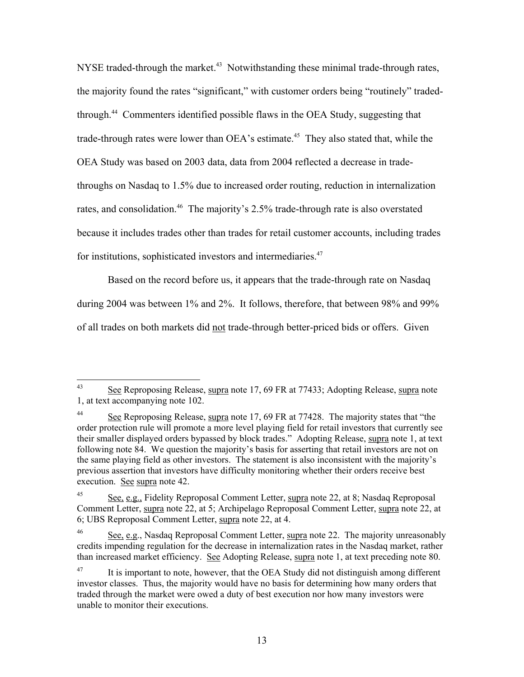NYSE traded-through the market.<sup>43</sup> Notwithstanding these minimal trade-through rates, the majority found the rates "significant," with customer orders being "routinely" tradedthrough.[44](#page-12-1) Commenters identified possible flaws in the OEA Study, suggesting that trade-through rates were lower than OEA's estimate.<sup>45</sup> They also stated that, while the OEA Study was based on 2003 data, data from 2004 reflected a decrease in tradethroughs on Nasdaq to 1.5% due to increased order routing, reduction in internalization rates, and consolidation.<sup>46</sup> The majority's 2.5% trade-through rate is also overstated because it includes trades other than trades for retail customer accounts, including trades for institutions, sophisticated investors and intermediaries.<sup>[47](#page-12-4)</sup>

Based on the record before us, it appears that the trade-through rate on Nasdaq during 2004 was between 1% and 2%. It follows, therefore, that between 98% and 99% of all trades on both markets did not trade-through better-priced bids or offers. Given

<span id="page-12-0"></span> $43$ See Reproposing Release, supra note 17, 69 FR at 77433; Adopting Release, supra note 1, at text accompanying note 102.

<span id="page-12-1"></span><sup>&</sup>lt;sup>44</sup> See Reproposing Release, supra note 17, 69 FR at 77428. The majority states that "the order protection rule will promote a more level playing field for retail investors that currently see their smaller displayed orders bypassed by block trades." Adopting Release, supra note 1, at text following note 84. We question the majority's basis for asserting that retail investors are not on the same playing field as other investors. The statement is also inconsistent with the majority's previous assertion that investors have difficulty monitoring whether their orders receive best execution. See supra note 42.

<span id="page-12-2"></span> $\frac{45}{2}$  See, e.g., Fidelity Reproposal Comment Letter, supra note 22, at 8; Nasdaq Reproposal Comment Letter, supra note 22, at 5; Archipelago Reproposal Comment Letter, supra note 22, at 6; UBS Reproposal Comment Letter, supra note 22, at 4.

<span id="page-12-3"></span><sup>46</sup> See, e.g., Nasdaq Reproposal Comment Letter, supra note 22. The majority unreasonably credits impending regulation for the decrease in internalization rates in the Nasdaq market, rather than increased market efficiency. See Adopting Release, supra note 1, at text preceding note 80.

<span id="page-12-4"></span> $47$  It is important to note, however, that the OEA Study did not distinguish among different investor classes. Thus, the majority would have no basis for determining how many orders that traded through the market were owed a duty of best execution nor how many investors were unable to monitor their executions.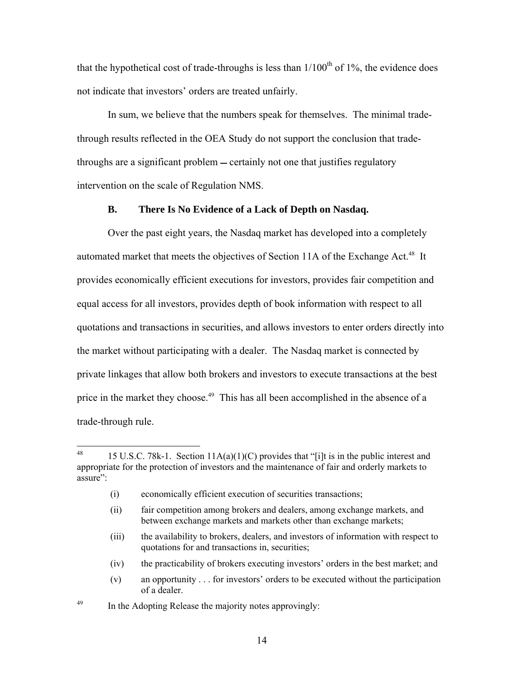that the hypothetical cost of trade-throughs is less than  $1/100<sup>th</sup>$  of 1%, the evidence does not indicate that investors' orders are treated unfairly.

In sum, we believe that the numbers speak for themselves. The minimal tradethrough results reflected in the OEA Study do not support the conclusion that tradethroughs are a significant problem — certainly not one that justifies regulatory intervention on the scale of Regulation NMS.

### **B. There Is No Evidence of a Lack of Depth on Nasdaq.**

Over the past eight years, the Nasdaq market has developed into a completely automated market that meets the objectives of Section 11A of the Exchange Act.<sup>48</sup> It provides economically efficient executions for investors, provides fair competition and equal access for all investors, provides depth of book information with respect to all quotations and transactions in securities, and allows investors to enter orders directly into the market without participating with a dealer. The Nasdaq market is connected by private linkages that allow both brokers and investors to execute transactions at the best price in the market they choose.<sup>49</sup> This has all been accomplished in the absence of a trade-through rule.

- (iii) the availability to brokers, dealers, and investors of information with respect to quotations for and transactions in, securities;
- (iv) the practicability of brokers executing investors' orders in the best market; and
- (v) an opportunity . . . for investors' orders to be executed without the participation of a dealer.

<u>.</u>

<span id="page-13-0"></span><sup>&</sup>lt;sup>48</sup> 15 U.S.C. 78k-1. Section  $11A(a)(1)(C)$  provides that "[i]t is in the public interest and appropriate for the protection of investors and the maintenance of fair and orderly markets to assure":

<sup>(</sup>i) economically efficient execution of securities transactions;

<sup>(</sup>ii) fair competition among brokers and dealers, among exchange markets, and between exchange markets and markets other than exchange markets;

<span id="page-13-1"></span><sup>&</sup>lt;sup>49</sup> In the Adopting Release the majority notes approvingly: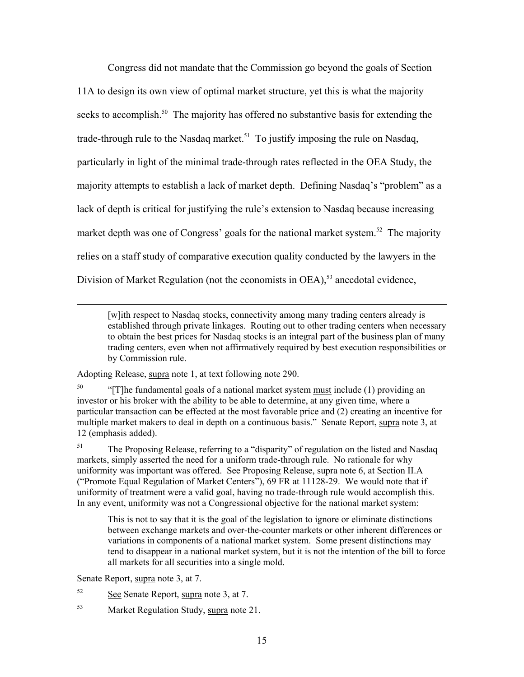Congress did not mandate that the Commission go beyond the goals of Section 11A to design its own view of optimal market structure, yet this is what the majority seeks to accomplish.<sup>50</sup> The majority has offered no substantive basis for extending the trade-through rule to the Nasdaq market.<sup>51</sup> To justify imposing the rule on Nasdaq, particularly in light of the minimal trade-through rates reflected in the OEA Study, the majority attempts to establish a lack of market depth. Defining Nasdaq's "problem" as a lack of depth is critical for justifying the rule's extension to Nasdaq because increasing market depth was one of Congress' goals for the national market system.<sup>52</sup> The majority relies on a staff study of comparative execution quality conducted by the lawyers in the Division of Market Regulation (not the economists in OEA),<sup>53</sup> anecdotal evidence,

[w]ith respect to Nasdaq stocks, connectivity among many trading centers already is established through private linkages. Routing out to other trading centers when necessary to obtain the best prices for Nasdaq stocks is an integral part of the business plan of many trading centers, even when not affirmatively required by best execution responsibilities or by Commission rule.

Adopting Release, supra note 1, at text following note 290.

<span id="page-14-0"></span> $^{50}$  "[T]he fundamental goals of a national market system must include (1) providing an investor or his broker with the ability to be able to determine, at any given time, where a particular transaction can be effected at the most favorable price and (2) creating an incentive for multiple market makers to deal in depth on a continuous basis." Senate Report, supra note 3, at 12 (emphasis added).

<span id="page-14-1"></span> $51$  The Proposing Release, referring to a "disparity" of regulation on the listed and Nasdaq markets, simply asserted the need for a uniform trade-through rule. No rationale for why uniformity was important was offered. See Proposing Release, supra note 6, at Section II.A ("Promote Equal Regulation of Market Centers"), 69 FR at 11128-29. We would note that if uniformity of treatment were a valid goal, having no trade-through rule would accomplish this. In any event, uniformity was not a Congressional objective for the national market system:

This is not to say that it is the goal of the legislation to ignore or eliminate distinctions between exchange markets and over-the-counter markets or other inherent differences or variations in components of a national market system. Some present distinctions may tend to disappear in a national market system, but it is not the intention of the bill to force all markets for all securities into a single mold.

Senate Report, supra note 3, at 7.

1

- <span id="page-14-2"></span>52 See Senate Report, supra note 3, at 7.
- <span id="page-14-3"></span><sup>53</sup> Market Regulation Study, supra note 21.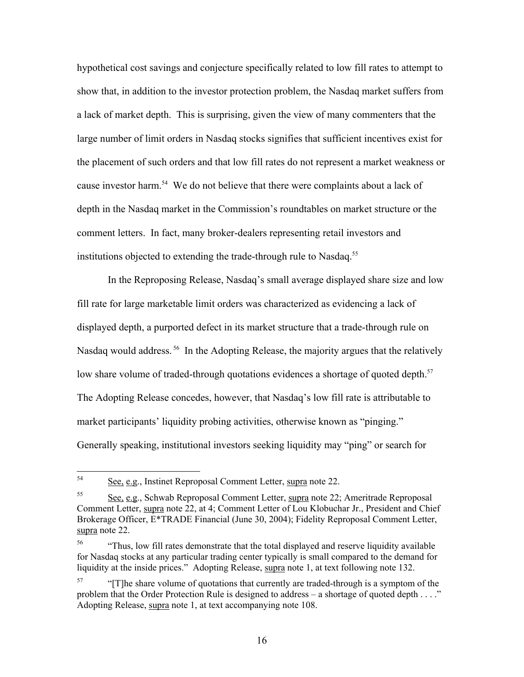hypothetical cost savings and conjecture specifically related to low fill rates to attempt to show that, in addition to the investor protection problem, the Nasdaq market suffers from a lack of market depth. This is surprising, given the view of many commenters that the large number of limit orders in Nasdaq stocks signifies that sufficient incentives exist for the placement of such orders and that low fill rates do not represent a market weakness or cause investor harm.<sup>54</sup> We do not believe that there were complaints about a lack of depth in the Nasdaq market in the Commission's roundtables on market structure or the comment letters. In fact, many broker-dealers representing retail investors and institutions objected to extending the trade-through rule to Nasdaq.<sup>[55](#page-15-1)</sup>

In the Reproposing Release, Nasdaq's small average displayed share size and low fill rate for large marketable limit orders was characterized as evidencing a lack of displayed depth, a purported defect in its market structure that a trade-through rule on Nasdag would address.<sup>56</sup> In the Adopting Release, the majority argues that the relatively low share volume of traded-through quotations evidences a shortage of quoted depth.<sup>57</sup> The Adopting Release concedes, however, that Nasdaq's low fill rate is attributable to market participants' liquidity probing activities, otherwise known as "pinging." Generally speaking, institutional investors seeking liquidity may "ping" or search for

<span id="page-15-0"></span><sup>54</sup> See, e.g., Instinet Reproposal Comment Letter, supra note 22.

<span id="page-15-1"></span><sup>55</sup> See, e.g., Schwab Reproposal Comment Letter, supra note 22; Ameritrade Reproposal Comment Letter, supra note 22, at 4; Comment Letter of Lou Klobuchar Jr., President and Chief Brokerage Officer, E\*TRADE Financial (June 30, 2004); Fidelity Reproposal Comment Letter, supra note 22.

<span id="page-15-2"></span><sup>&</sup>lt;sup>56</sup> "Thus, low fill rates demonstrate that the total displayed and reserve liquidity available for Nasdaq stocks at any particular trading center typically is small compared to the demand for liquidity at the inside prices." Adopting Release, supra note 1, at text following note 132.

<span id="page-15-3"></span> $^{57}$  "[T]he share volume of quotations that currently are traded-through is a symptom of the problem that the Order Protection Rule is designed to address  $-$  a shortage of quoted depth  $\dots$ ." Adopting Release, supra note 1, at text accompanying note 108.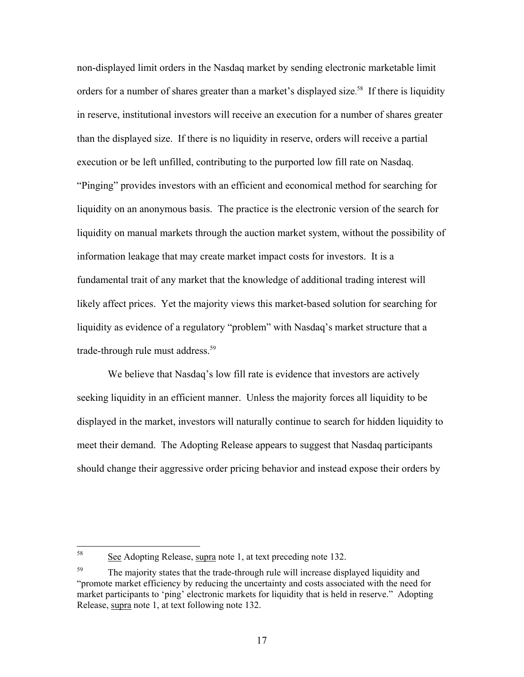non-displayed limit orders in the Nasdaq market by sending electronic marketable limit orders for a number of shares greater than a market's displayed size.<sup>58</sup> If there is liquidity in reserve, institutional investors will receive an execution for a number of shares greater than the displayed size. If there is no liquidity in reserve, orders will receive a partial execution or be left unfilled, contributing to the purported low fill rate on Nasdaq. "Pinging" provides investors with an efficient and economical method for searching for liquidity on an anonymous basis. The practice is the electronic version of the search for liquidity on manual markets through the auction market system, without the possibility of information leakage that may create market impact costs for investors. It is a fundamental trait of any market that the knowledge of additional trading interest will likely affect prices. Yet the majority views this market-based solution for searching for liquidity as evidence of a regulatory "problem" with Nasdaq's market structure that a trade-through rule must address.<sup>59</sup>

We believe that Nasdaq's low fill rate is evidence that investors are actively seeking liquidity in an efficient manner. Unless the majority forces all liquidity to be displayed in the market, investors will naturally continue to search for hidden liquidity to meet their demand. The Adopting Release appears to suggest that Nasdaq participants should change their aggressive order pricing behavior and instead expose their orders by

<span id="page-16-0"></span><sup>58</sup> See Adopting Release, supra note 1, at text preceding note 132.

<span id="page-16-1"></span><sup>&</sup>lt;sup>59</sup> The majority states that the trade-through rule will increase displayed liquidity and "promote market efficiency by reducing the uncertainty and costs associated with the need for market participants to 'ping' electronic markets for liquidity that is held in reserve." Adopting Release, supra note 1, at text following note 132.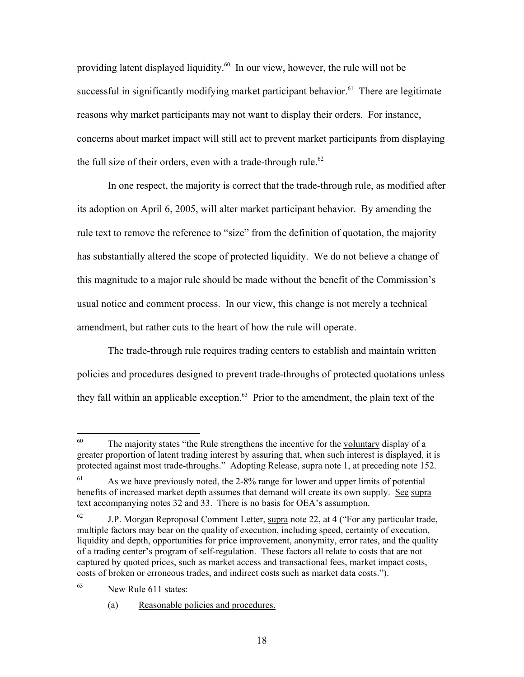providing latent displayed liquidity[.60](#page-17-0) In our view, however, the rule will not be successful in significantly modifying market participant behavior.<sup>61</sup> There are legitimate reasons why market participants may not want to display their orders. For instance, concerns about market impact will still act to prevent market participants from displaying the full size of their orders, even with a trade-through rule.<sup>62</sup>

In one respect, the majority is correct that the trade-through rule, as modified after its adoption on April 6, 2005, will alter market participant behavior. By amending the rule text to remove the reference to "size" from the definition of quotation, the majority has substantially altered the scope of protected liquidity. We do not believe a change of this magnitude to a major rule should be made without the benefit of the Commission's usual notice and comment process. In our view, this change is not merely a technical amendment, but rather cuts to the heart of how the rule will operate.

The trade-through rule requires trading centers to establish and maintain written policies and procedures designed to prevent trade-throughs of protected quotations unless they fall within an applicable exception. $63$  Prior to the amendment, the plain text of the

<span id="page-17-0"></span><sup>60</sup> The majority states "the Rule strengthens the incentive for the voluntary display of a greater proportion of latent trading interest by assuring that, when such interest is displayed, it is protected against most trade-throughs." Adopting Release, supra note 1, at preceding note 152.

<span id="page-17-1"></span>As we have previously noted, the 2-8% range for lower and upper limits of potential benefits of increased market depth assumes that demand will create its own supply. See supra text accompanying notes 32 and 33. There is no basis for OEA's assumption.

<span id="page-17-2"></span> $62$  J.P. Morgan Reproposal Comment Letter, supra note 22, at 4 ("For any particular trade, multiple factors may bear on the quality of execution, including speed, certainty of execution, liquidity and depth, opportunities for price improvement, anonymity, error rates, and the quality of a trading center's program of self-regulation. These factors all relate to costs that are not captured by quoted prices, such as market access and transactional fees, market impact costs, costs of broken or erroneous trades, and indirect costs such as market data costs.").

<span id="page-17-3"></span><sup>63</sup> New Rule 611 states:

<sup>(</sup>a) Reasonable policies and procedures.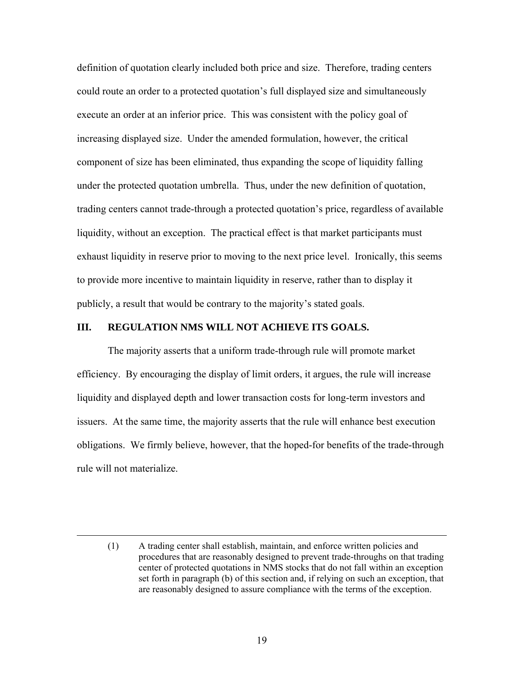definition of quotation clearly included both price and size. Therefore, trading centers could route an order to a protected quotation's full displayed size and simultaneously execute an order at an inferior price. This was consistent with the policy goal of increasing displayed size. Under the amended formulation, however, the critical component of size has been eliminated, thus expanding the scope of liquidity falling under the protected quotation umbrella. Thus, under the new definition of quotation, trading centers cannot trade-through a protected quotation's price, regardless of available liquidity, without an exception. The practical effect is that market participants must exhaust liquidity in reserve prior to moving to the next price level. Ironically, this seems to provide more incentive to maintain liquidity in reserve, rather than to display it publicly, a result that would be contrary to the majority's stated goals.

#### **III. REGULATION NMS WILL NOT ACHIEVE ITS GOALS.**

 $\overline{a}$ 

The majority asserts that a uniform trade-through rule will promote market efficiency. By encouraging the display of limit orders, it argues, the rule will increase liquidity and displayed depth and lower transaction costs for long-term investors and issuers. At the same time, the majority asserts that the rule will enhance best execution obligations. We firmly believe, however, that the hoped-for benefits of the trade-through rule will not materialize.

<sup>(1)</sup> A trading center shall establish, maintain, and enforce written policies and procedures that are reasonably designed to prevent trade-throughs on that trading center of protected quotations in NMS stocks that do not fall within an exception set forth in paragraph (b) of this section and, if relying on such an exception, that are reasonably designed to assure compliance with the terms of the exception.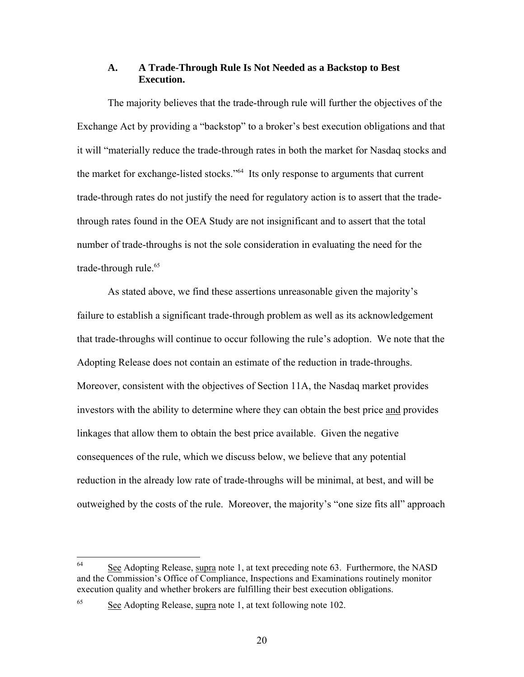## **A. A Trade-Through Rule Is Not Needed as a Backstop to Best Execution.**

The majority believes that the trade-through rule will further the objectives of the Exchange Act by providing a "backstop" to a broker's best execution obligations and that it will "materially reduce the trade-through rates in both the market for Nasdaq stocks and the market for exchange-listed stocks."[64](#page-19-0) Its only response to arguments that current trade-through rates do not justify the need for regulatory action is to assert that the tradethrough rates found in the OEA Study are not insignificant and to assert that the total number of trade-throughs is not the sole consideration in evaluating the need for the trade-through rule.<sup>65</sup>

As stated above, we find these assertions unreasonable given the majority's failure to establish a significant trade-through problem as well as its acknowledgement that trade-throughs will continue to occur following the rule's adoption. We note that the Adopting Release does not contain an estimate of the reduction in trade-throughs. Moreover, consistent with the objectives of Section 11A, the Nasdaq market provides investors with the ability to determine where they can obtain the best price and provides linkages that allow them to obtain the best price available. Given the negative consequences of the rule, which we discuss below, we believe that any potential reduction in the already low rate of trade-throughs will be minimal, at best, and will be outweighed by the costs of the rule. Moreover, the majority's "one size fits all" approach

<span id="page-19-0"></span><sup>64</sup> 64 See Adopting Release, supra note 1, at text preceding note 63. Furthermore, the NASD and the Commission's Office of Compliance, Inspections and Examinations routinely monitor execution quality and whether brokers are fulfilling their best execution obligations.

<span id="page-19-1"></span><sup>&</sup>lt;sup>65</sup> See Adopting Release, supra note 1, at text following note 102.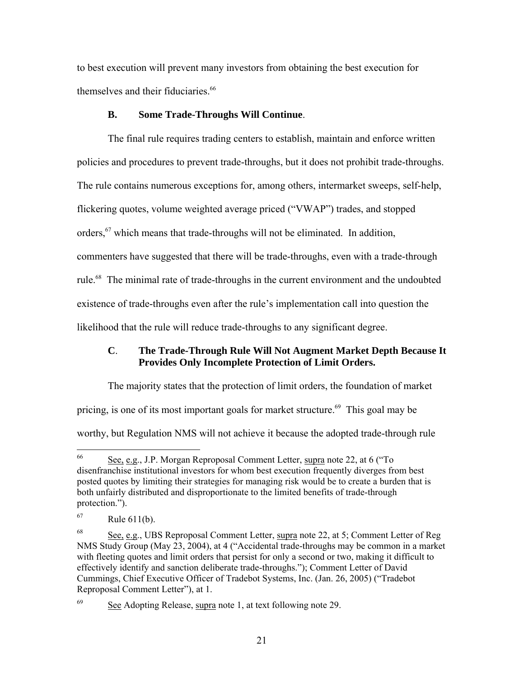to best execution will prevent many investors from obtaining the best execution for themselves and their fiduciaries.<sup>66</sup>

## **B. Some Trade-Throughs Will Continue**.

The final rule requires trading centers to establish, maintain and enforce written policies and procedures to prevent trade-throughs, but it does not prohibit trade-throughs. The rule contains numerous exceptions for, among others, intermarket sweeps, self-help, flickering quotes, volume weighted average priced ("VWAP") trades, and stopped orders,<sup>67</sup> which means that trade-throughs will not be eliminated. In addition, commenters have suggested that there will be trade-throughs, even with a trade-through rule.[68](#page-20-2) The minimal rate of trade-throughs in the current environment and the undoubted existence of trade-throughs even after the rule's implementation call into question the likelihood that the rule will reduce trade-throughs to any significant degree.

# **C**. **The Trade-Through Rule Will Not Augment Market Depth Because It Provides Only Incomplete Protection of Limit Orders.**

The majority states that the protection of limit orders, the foundation of market

pricing, is one of its most important goals for market structure.<sup>69</sup> This goal may be

worthy, but Regulation NMS will not achieve it because the adopted trade-through rule

<span id="page-20-0"></span><sup>66</sup> See, e.g., J.P. Morgan Reproposal Comment Letter, supra note 22, at 6 ("To disenfranchise institutional investors for whom best execution frequently diverges from best posted quotes by limiting their strategies for managing risk would be to create a burden that is both unfairly distributed and disproportionate to the limited benefits of trade-through protection.").

<span id="page-20-1"></span> $67$  Rule 611(b).

<span id="page-20-2"></span><sup>68</sup> See, e.g., UBS Reproposal Comment Letter, supra note 22, at 5; Comment Letter of Reg NMS Study Group (May 23, 2004), at 4 ("Accidental trade-throughs may be common in a market with fleeting quotes and limit orders that persist for only a second or two, making it difficult to effectively identify and sanction deliberate trade-throughs."); Comment Letter of David Cummings, Chief Executive Officer of Tradebot Systems, Inc. (Jan. 26, 2005) ("Tradebot Reproposal Comment Letter"), at 1.

<span id="page-20-3"></span> $\frac{69}{2}$  See Adopting Release, supra note 1, at text following note 29.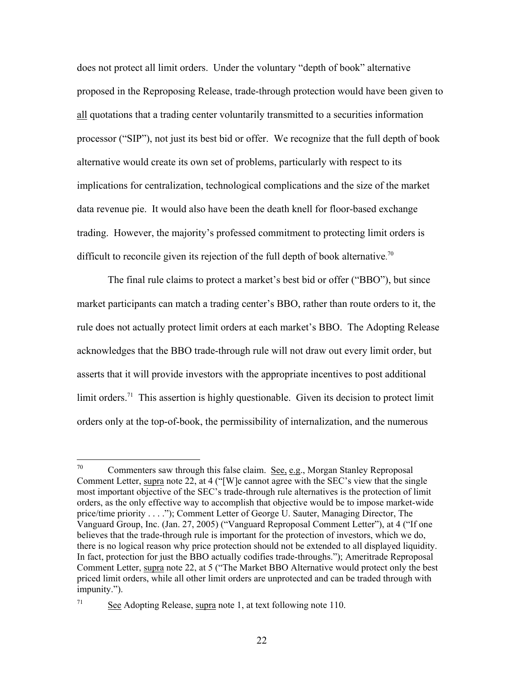does not protect all limit orders. Under the voluntary "depth of book" alternative proposed in the Reproposing Release, trade-through protection would have been given to all quotations that a trading center voluntarily transmitted to a securities information processor ("SIP"), not just its best bid or offer. We recognize that the full depth of book alternative would create its own set of problems, particularly with respect to its implications for centralization, technological complications and the size of the market data revenue pie. It would also have been the death knell for floor-based exchange trading. However, the majority's professed commitment to protecting limit orders is difficult to reconcile given its rejection of the full depth of book alternative.<sup>[70](#page-21-0)</sup>

The final rule claims to protect a market's best bid or offer ("BBO"), but since market participants can match a trading center's BBO, rather than route orders to it, the rule does not actually protect limit orders at each market's BBO. The Adopting Release acknowledges that the BBO trade-through rule will not draw out every limit order, but asserts that it will provide investors with the appropriate incentives to post additional limit orders.<sup>71</sup> This assertion is highly questionable. Given its decision to protect limit orders only at the top-of-book, the permissibility of internalization, and the numerous

<span id="page-21-0"></span><sup>70</sup> Commenters saw through this false claim. See, e.g., Morgan Stanley Reproposal Comment Letter, supra note 22, at 4 ("[W]e cannot agree with the SEC's view that the single most important objective of the SEC's trade-through rule alternatives is the protection of limit orders, as the only effective way to accomplish that objective would be to impose market-wide price/time priority . . . ."); Comment Letter of George U. Sauter, Managing Director, The Vanguard Group, Inc. (Jan. 27, 2005) ("Vanguard Reproposal Comment Letter"), at 4 ("If one believes that the trade-through rule is important for the protection of investors, which we do, there is no logical reason why price protection should not be extended to all displayed liquidity. In fact, protection for just the BBO actually codifies trade-throughs."); Ameritrade Reproposal Comment Letter, supra note 22, at 5 ("The Market BBO Alternative would protect only the best priced limit orders, while all other limit orders are unprotected and can be traded through with impunity.").

<span id="page-21-1"></span> $\frac{\text{See}}{\text{2}}$  Adopting Release, supra note 1, at text following note 110.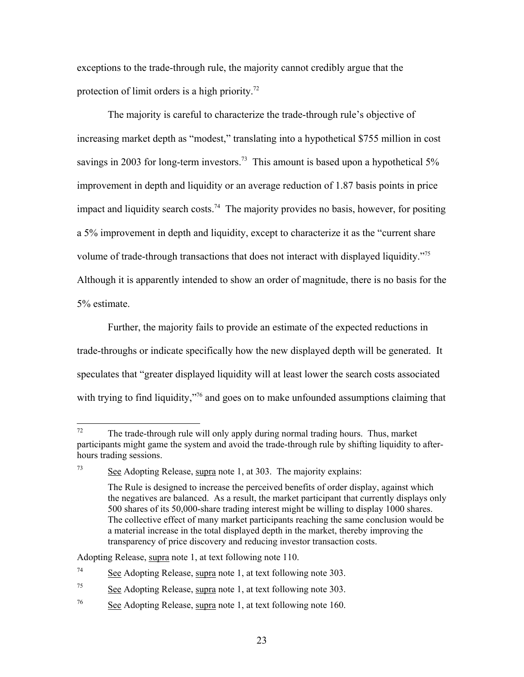exceptions to the trade-through rule, the majority cannot credibly argue that the protection of limit orders is a high priority.<sup>72</sup>

The majority is careful to characterize the trade-through rule's objective of increasing market depth as "modest," translating into a hypothetical \$755 million in cost savings in 2003 for long-term investors.<sup>73</sup> This amount is based upon a hypothetical  $5\%$ improvement in depth and liquidity or an average reduction of 1.87 basis points in price impact and liquidity search costs.<sup>74</sup> The majority provides no basis, however, for positing a 5% improvement in depth and liquidity, except to characterize it as the "current share volume of trade-through transactions that does not interact with displayed liquidity."[75](#page-22-3)  Although it is apparently intended to show an order of magnitude, there is no basis for the 5% estimate.

Further, the majority fails to provide an estimate of the expected reductions in trade-throughs or indicate specifically how the new displayed depth will be generated. It speculates that "greater displayed liquidity will at least lower the search costs associated with trying to find liquidity,"<sup>76</sup> and goes on to make unfounded assumptions claiming that

<span id="page-22-0"></span><sup>72</sup> The trade-through rule will only apply during normal trading hours. Thus, market participants might game the system and avoid the trade-through rule by shifting liquidity to afterhours trading sessions.

<span id="page-22-1"></span> $73$  See Adopting Release, supra note 1, at 303. The majority explains:

The Rule is designed to increase the perceived benefits of order display, against which the negatives are balanced. As a result, the market participant that currently displays only 500 shares of its 50,000-share trading interest might be willing to display 1000 shares. The collective effect of many market participants reaching the same conclusion would be a material increase in the total displayed depth in the market, thereby improving the transparency of price discovery and reducing investor transaction costs.

Adopting Release, supra note 1, at text following note 110.

<span id="page-22-2"></span> $\frac{74}{74}$  See Adopting Release, supra note 1, at text following note 303.

<span id="page-22-3"></span> $\frac{56}{25}$  See Adopting Release, supra note 1, at text following note 303.

<span id="page-22-4"></span> $\frac{76}{100}$  See Adopting Release, supra note 1, at text following note 160.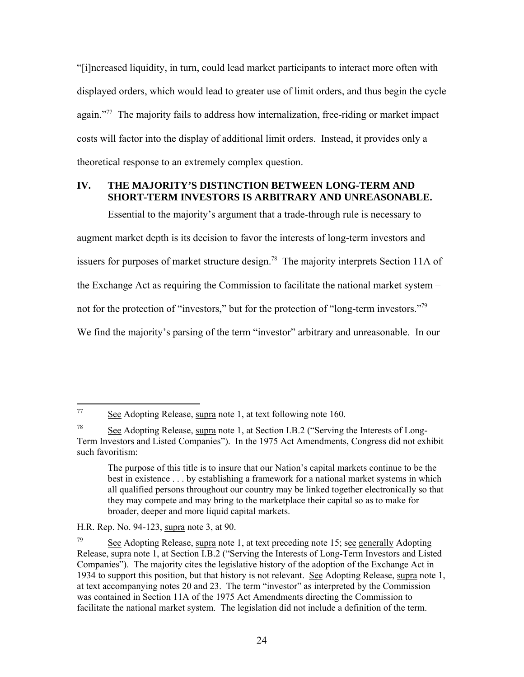"[i]ncreased liquidity, in turn, could lead market participants to interact more often with displayed orders, which would lead to greater use of limit orders, and thus begin the cycle again."<sup>77</sup> The majority fails to address how internalization, free-riding or market impact costs will factor into the display of additional limit orders. Instead, it provides only a theoretical response to an extremely complex question.

## **IV. THE MAJORITY'S DISTINCTION BETWEEN LONG-TERM AND SHORT-TERM INVESTORS IS ARBITRARY AND UNREASONABLE.**

Essential to the majority's argument that a trade-through rule is necessary to augment market depth is its decision to favor the interests of long-term investors and issuers for purposes of market structure design.<sup>78</sup> The majority interprets Section 11A of the Exchange Act as requiring the Commission to facilitate the national market system – not for the protection of "investors," but for the protection of "long-term investors."<sup>79</sup> We find the majority's parsing of the term "investor" arbitrary and unreasonable. In our

<span id="page-23-0"></span> $\overline{77}$ See Adopting Release, supra note 1, at text following note 160.

<span id="page-23-1"></span><sup>78</sup> See Adopting Release, supra note 1, at Section I.B.2 ("Serving the Interests of Long-Term Investors and Listed Companies"). In the 1975 Act Amendments, Congress did not exhibit such favoritism:

The purpose of this title is to insure that our Nation's capital markets continue to be the best in existence . . . by establishing a framework for a national market systems in which all qualified persons throughout our country may be linked together electronically so that they may compete and may bring to the marketplace their capital so as to make for broader, deeper and more liquid capital markets.

H.R. Rep. No. 94-123, supra note 3, at 90.

<span id="page-23-2"></span><sup>&</sup>lt;sup>79</sup> See Adopting Release, supra note 1, at text preceding note 15; see generally Adopting Release, supra note 1, at Section I.B.2 ("Serving the Interests of Long-Term Investors and Listed Companies"). The majority cites the legislative history of the adoption of the Exchange Act in 1934 to support this position, but that history is not relevant. See Adopting Release, supra note 1, at text accompanying notes 20 and 23. The term "investor" as interpreted by the Commission was contained in Section 11A of the 1975 Act Amendments directing the Commission to facilitate the national market system. The legislation did not include a definition of the term.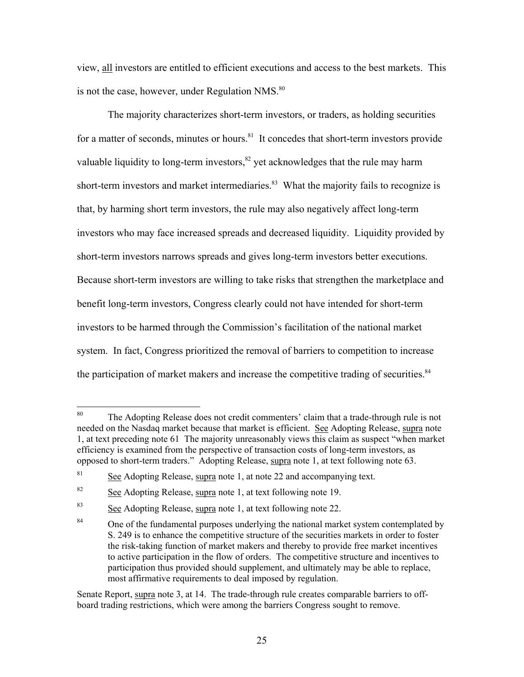view, all investors are entitled to efficient executions and access to the best markets. This is not the case, however, under Regulation NMS.<sup>[80](#page-24-0)</sup>

The majority characterizes short-term investors, or traders, as holding securities for a matter of seconds, minutes or hours.<sup>81</sup> It concedes that short-term investors provide valuable liquidity to long-term investors, ${}^{82}$  yet acknowledges that the rule may harm short-term investors and market intermediaries.<sup>83</sup> What the majority fails to recognize is that, by harming short term investors, the rule may also negatively affect long-term investors who may face increased spreads and decreased liquidity. Liquidity provided by short-term investors narrows spreads and gives long-term investors better executions. Because short-term investors are willing to take risks that strengthen the marketplace and benefit long-term investors, Congress clearly could not have intended for short-term investors to be harmed through the Commission's facilitation of the national market system. In fact, Congress prioritized the removal of barriers to competition to increase the participation of market makers and increase the competitive trading of securities.<sup>[84](#page-24-4)</sup>

<span id="page-24-0"></span><sup>80</sup> The Adopting Release does not credit commenters' claim that a trade-through rule is not needed on the Nasdaq market because that market is efficient. See Adopting Release, supra note 1, at text preceding note 61 The majority unreasonably views this claim as suspect "when market efficiency is examined from the perspective of transaction costs of long-term investors, as opposed to short-term traders." Adopting Release, supra note 1, at text following note 63.

<span id="page-24-1"></span><sup>&</sup>lt;sup>81</sup> See Adopting Release, supra note 1, at note 22 and accompanying text.

<span id="page-24-2"></span> $82$  See Adopting Release, supra note 1, at text following note 19.

<span id="page-24-3"></span><sup>83</sup> See Adopting Release, supra note 1, at text following note 22.

<span id="page-24-4"></span><sup>&</sup>lt;sup>84</sup> One of the fundamental purposes underlying the national market system contemplated by S. 249 is to enhance the competitive structure of the securities markets in order to foster the risk-taking function of market makers and thereby to provide free market incentives to active participation in the flow of orders. The competitive structure and incentives to participation thus provided should supplement, and ultimately may be able to replace, most affirmative requirements to deal imposed by regulation.

Senate Report, supra note 3, at 14. The trade-through rule creates comparable barriers to offboard trading restrictions, which were among the barriers Congress sought to remove.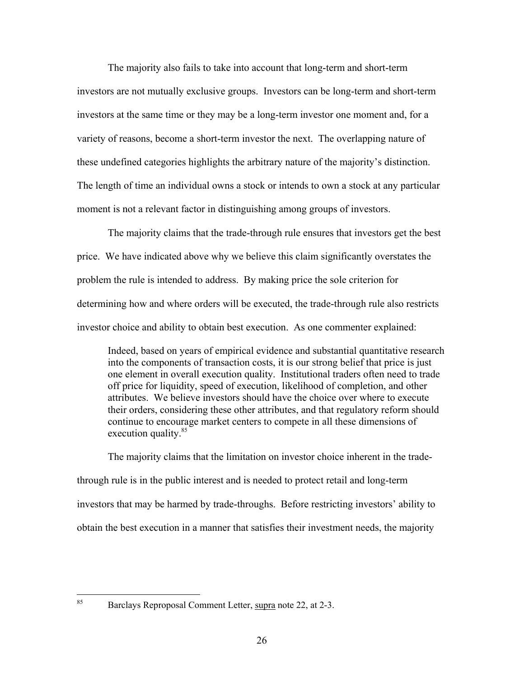The majority also fails to take into account that long-term and short-term investors are not mutually exclusive groups. Investors can be long-term and short-term investors at the same time or they may be a long-term investor one moment and, for a variety of reasons, become a short-term investor the next. The overlapping nature of these undefined categories highlights the arbitrary nature of the majority's distinction. The length of time an individual owns a stock or intends to own a stock at any particular moment is not a relevant factor in distinguishing among groups of investors.

The majority claims that the trade-through rule ensures that investors get the best price. We have indicated above why we believe this claim significantly overstates the problem the rule is intended to address. By making price the sole criterion for determining how and where orders will be executed, the trade-through rule also restricts investor choice and ability to obtain best execution. As one commenter explained:

Indeed, based on years of empirical evidence and substantial quantitative research into the components of transaction costs, it is our strong belief that price is just one element in overall execution quality. Institutional traders often need to trade off price for liquidity, speed of execution, likelihood of completion, and other attributes. We believe investors should have the choice over where to execute their orders, considering these other attributes, and that regulatory reform should continue to encourage market centers to compete in all these dimensions of execution quality.<sup>[85](#page-25-0)</sup>

The majority claims that the limitation on investor choice inherent in the tradethrough rule is in the public interest and is needed to protect retail and long-term investors that may be harmed by trade-throughs. Before restricting investors' ability to obtain the best execution in a manner that satisfies their investment needs, the majority

<span id="page-25-0"></span>85

Barclays Reproposal Comment Letter, supra note 22, at 2-3.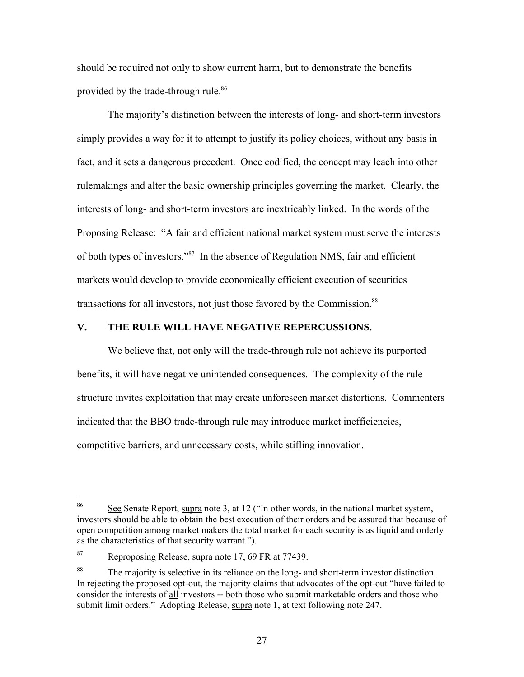should be required not only to show current harm, but to demonstrate the benefits provided by the trade-through rule.<sup>86</sup>

 The majority's distinction between the interests of long- and short-term investors simply provides a way for it to attempt to justify its policy choices, without any basis in fact, and it sets a dangerous precedent. Once codified, the concept may leach into other rulemakings and alter the basic ownership principles governing the market. Clearly, the interests of long- and short-term investors are inextricably linked. In the words of the Proposing Release: "A fair and efficient national market system must serve the interests of both types of investors."[87](#page-26-1) In the absence of Regulation NMS, fair and efficient markets would develop to provide economically efficient execution of securities transactions for all investors, not just those favored by the Commission.<sup>[88](#page-26-2)</sup>

#### **V. THE RULE WILL HAVE NEGATIVE REPERCUSSIONS.**

We believe that, not only will the trade-through rule not achieve its purported benefits, it will have negative unintended consequences. The complexity of the rule structure invites exploitation that may create unforeseen market distortions. Commenters indicated that the BBO trade-through rule may introduce market inefficiencies, competitive barriers, and unnecessary costs, while stifling innovation.

<span id="page-26-0"></span><sup>86</sup> See Senate Report, supra note 3, at 12 ("In other words, in the national market system, investors should be able to obtain the best execution of their orders and be assured that because of open competition among market makers the total market for each security is as liquid and orderly as the characteristics of that security warrant.").

<span id="page-26-1"></span><sup>87</sup> Reproposing Release, supra note 17, 69 FR at 77439.

<span id="page-26-2"></span><sup>&</sup>lt;sup>88</sup> The majority is selective in its reliance on the long- and short-term investor distinction. In rejecting the proposed opt-out, the majority claims that advocates of the opt-out "have failed to consider the interests of all investors -- both those who submit marketable orders and those who submit limit orders." Adopting Release, supra note 1, at text following note 247.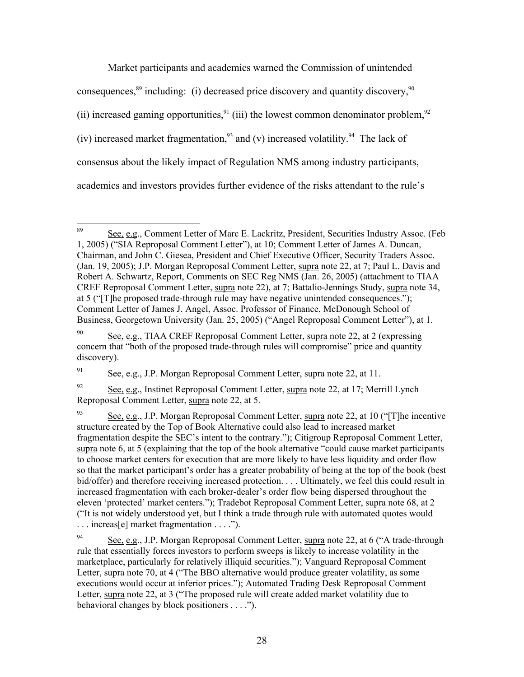Market participants and academics warned the Commission of unintended consequences,  $89$  including: (i) decreased price discovery and quantity discovery,  $90$ (ii) increased gaming opportunities,  $91$  (iii) the lowest common denominator problem,  $92$ (iv) increased market fragmentation,<sup>93</sup> and (v) increased volatility.<sup>94</sup> The lack of consensus about the likely impact of Regulation NMS among industry participants, academics and investors provides further evidence of the risks attendant to the rule's

<span id="page-27-2"></span><sup>91</sup> See, e.g., J.P. Morgan Reproposal Comment Letter, supra note 22, at 11.

<span id="page-27-3"></span><sup>92</sup> See, e.g., Instinet Reproposal Comment Letter, supra note 22, at 17; Merrill Lynch Reproposal Comment Letter, supra note 22, at 5.

<span id="page-27-0"></span><sup>89</sup> 89 See, e.g., Comment Letter of Marc E. Lackritz, President, Securities Industry Assoc. (Feb 1, 2005) ("SIA Reproposal Comment Letter"), at 10; Comment Letter of James A. Duncan, Chairman, and John C. Giesea, President and Chief Executive Officer, Security Traders Assoc. (Jan. 19, 2005); J.P. Morgan Reproposal Comment Letter, supra note 22, at 7; Paul L. Davis and Robert A. Schwartz, Report, Comments on SEC Reg NMS (Jan. 26, 2005) (attachment to TIAA CREF Reproposal Comment Letter, supra note 22), at 7; Battalio-Jennings Study, supra note 34, at 5 ("[T]he proposed trade-through rule may have negative unintended consequences."); Comment Letter of James J. Angel, Assoc. Professor of Finance, McDonough School of Business, Georgetown University (Jan. 25, 2005) ("Angel Reproposal Comment Letter"), at 1.

<span id="page-27-1"></span><sup>90</sup> See, e.g., TIAA CREF Reproposal Comment Letter, supra note 22, at 2 (expressing concern that "both of the proposed trade-through rules will compromise" price and quantity discovery).

<span id="page-27-4"></span><sup>93</sup> See, e.g., J.P. Morgan Reproposal Comment Letter, supra note 22, at 10 ("T] he incentive structure created by the Top of Book Alternative could also lead to increased market fragmentation despite the SEC's intent to the contrary."); Citigroup Reproposal Comment Letter, supra note 6, at 5 (explaining that the top of the book alternative "could cause market participants to choose market centers for execution that are more likely to have less liquidity and order flow so that the market participant's order has a greater probability of being at the top of the book (best bid/offer) and therefore receiving increased protection. . . . Ultimately, we feel this could result in increased fragmentation with each broker-dealer's order flow being dispersed throughout the eleven 'protected' market centers."); Tradebot Reproposal Comment Letter, supra note 68, at 2 ("It is not widely understood yet, but I think a trade through rule with automated quotes would . . . increas[e] market fragmentation . . . .").

<span id="page-27-5"></span><sup>94</sup> See, e.g., J.P. Morgan Reproposal Comment Letter, supra note 22, at 6 ("A trade-through rule that essentially forces investors to perform sweeps is likely to increase volatility in the marketplace, particularly for relatively illiquid securities."); Vanguard Reproposal Comment Letter, supra note 70, at 4 ("The BBO alternative would produce greater volatility, as some executions would occur at inferior prices."); Automated Trading Desk Reproposal Comment Letter, supra note 22, at 3 ("The proposed rule will create added market volatility due to behavioral changes by block positioners . . . .").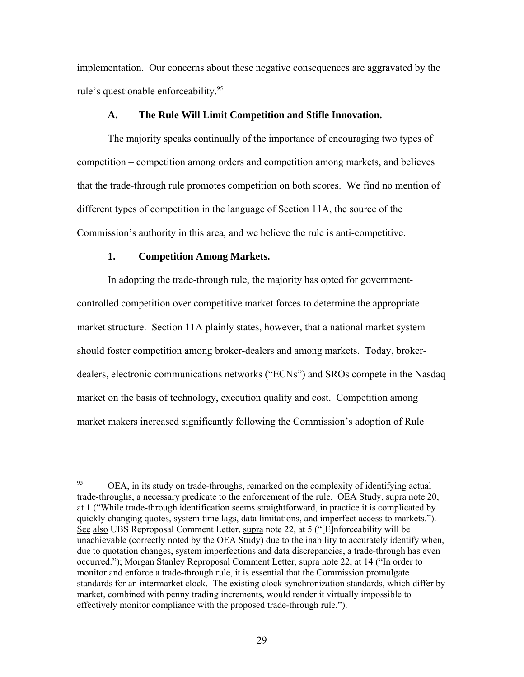implementation. Our concerns about these negative consequences are aggravated by the rule's questionable enforceability.<sup>[95](#page-28-0)</sup>

#### **A. The Rule Will Limit Competition and Stifle Innovation.**

The majority speaks continually of the importance of encouraging two types of competition – competition among orders and competition among markets, and believes that the trade-through rule promotes competition on both scores. We find no mention of different types of competition in the language of Section 11A, the source of the Commission's authority in this area, and we believe the rule is anti-competitive.

#### **1. Competition Among Markets.**

In adopting the trade-through rule, the majority has opted for governmentcontrolled competition over competitive market forces to determine the appropriate market structure. Section 11A plainly states, however, that a national market system should foster competition among broker-dealers and among markets. Today, brokerdealers, electronic communications networks ("ECNs") and SROs compete in the Nasdaq market on the basis of technology, execution quality and cost. Competition among market makers increased significantly following the Commission's adoption of Rule

<span id="page-28-0"></span><sup>95</sup> 95 OEA, in its study on trade-throughs, remarked on the complexity of identifying actual trade-throughs, a necessary predicate to the enforcement of the rule. OEA Study, supra note 20, at 1 ("While trade-through identification seems straightforward, in practice it is complicated by quickly changing quotes, system time lags, data limitations, and imperfect access to markets."). See also UBS Reproposal Comment Letter, supra note 22, at 5 ("[E]nforceability will be unachievable (correctly noted by the OEA Study) due to the inability to accurately identify when, due to quotation changes, system imperfections and data discrepancies, a trade-through has even occurred."); Morgan Stanley Reproposal Comment Letter, supra note 22, at 14 ("In order to monitor and enforce a trade-through rule, it is essential that the Commission promulgate standards for an intermarket clock. The existing clock synchronization standards, which differ by market, combined with penny trading increments, would render it virtually impossible to effectively monitor compliance with the proposed trade-through rule.").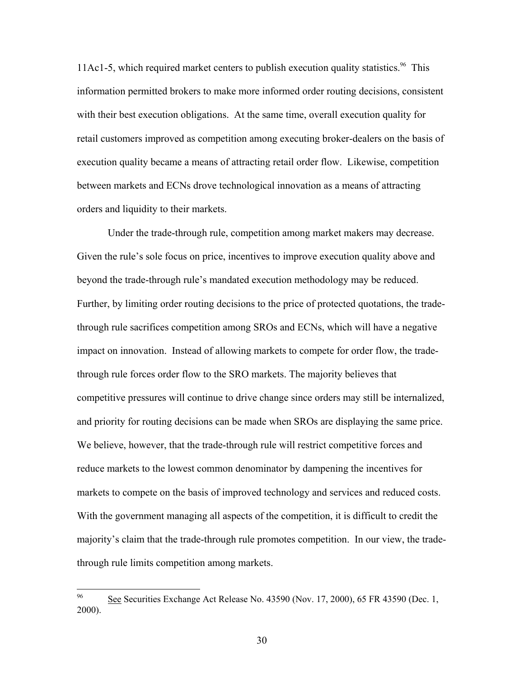11Ac1-5, which required market centers to publish execution quality statistics.<sup>96</sup> This information permitted brokers to make more informed order routing decisions, consistent with their best execution obligations. At the same time, overall execution quality for retail customers improved as competition among executing broker-dealers on the basis of execution quality became a means of attracting retail order flow. Likewise, competition between markets and ECNs drove technological innovation as a means of attracting orders and liquidity to their markets.

Under the trade-through rule, competition among market makers may decrease. Given the rule's sole focus on price, incentives to improve execution quality above and beyond the trade-through rule's mandated execution methodology may be reduced. Further, by limiting order routing decisions to the price of protected quotations, the tradethrough rule sacrifices competition among SROs and ECNs, which will have a negative impact on innovation. Instead of allowing markets to compete for order flow, the tradethrough rule forces order flow to the SRO markets. The majority believes that competitive pressures will continue to drive change since orders may still be internalized, and priority for routing decisions can be made when SROs are displaying the same price. We believe, however, that the trade-through rule will restrict competitive forces and reduce markets to the lowest common denominator by dampening the incentives for markets to compete on the basis of improved technology and services and reduced costs. With the government managing all aspects of the competition, it is difficult to credit the majority's claim that the trade-through rule promotes competition. In our view, the tradethrough rule limits competition among markets.

<span id="page-29-0"></span><sup>96</sup> 96 See Securities Exchange Act Release No. 43590 (Nov. 17, 2000), 65 FR 43590 (Dec. 1, 2000).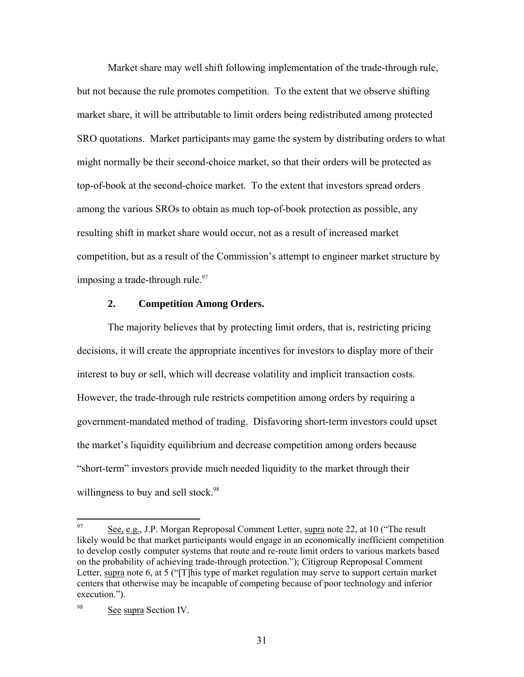Market share may well shift following implementation of the trade-through rule, but not because the rule promotes competition. To the extent that we observe shifting market share, it will be attributable to limit orders being redistributed among protected SRO quotations. Market participants may game the system by distributing orders to what might normally be their second-choice market, so that their orders will be protected as top-of-book at the second-choice market. To the extent that investors spread orders among the various SROs to obtain as much top-of-book protection as possible, any resulting shift in market share would occur, not as a result of increased market competition, but as a result of the Commission's attempt to engineer market structure by imposing a trade-through rule. $97$ 

#### **2. Competition Among Orders.**

The majority believes that by protecting limit orders, that is, restricting pricing decisions, it will create the appropriate incentives for investors to display more of their interest to buy or sell, which will decrease volatility and implicit transaction costs. However, the trade-through rule restricts competition among orders by requiring a government-mandated method of trading. Disfavoring short-term investors could upset the market's liquidity equilibrium and decrease competition among orders because "short-term" investors provide much needed liquidity to the market through their willingness to buy and sell stock.<sup>[98](#page-30-1)</sup>

<span id="page-30-0"></span><sup>97</sup> See, e.g., J.P. Morgan Reproposal Comment Letter, supra note 22, at 10 ("The result likely would be that market participants would engage in an economically inefficient competition to develop costly computer systems that route and re-route limit orders to various markets based on the probability of achieving trade-through protection."); Citigroup Reproposal Comment Letter, supra note 6, at 5 ("[T]his type of market regulation may serve to support certain market centers that otherwise may be incapable of competing because of poor technology and inferior execution.").

<span id="page-30-1"></span><sup>&</sup>lt;sup>98</sup> See supra Section IV.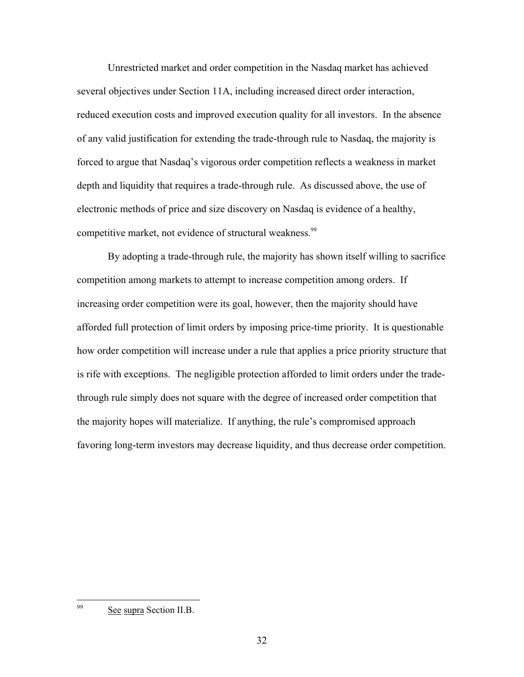Unrestricted market and order competition in the Nasdaq market has achieved several objectives under Section 11A, including increased direct order interaction, reduced execution costs and improved execution quality for all investors. In the absence of any valid justification for extending the trade-through rule to Nasdaq, the majority is forced to argue that Nasdaq's vigorous order competition reflects a weakness in market depth and liquidity that requires a trade-through rule. As discussed above, the use of electronic methods of price and size discovery on Nasdaq is evidence of a healthy, competitive market, not evidence of structural weakness.<sup>99</sup>

By adopting a trade-through rule, the majority has shown itself willing to sacrifice competition among markets to attempt to increase competition among orders. If increasing order competition were its goal, however, then the majority should have afforded full protection of limit orders by imposing price-time priority. It is questionable how order competition will increase under a rule that applies a price priority structure that is rife with exceptions. The negligible protection afforded to limit orders under the tradethrough rule simply does not square with the degree of increased order competition that the majority hopes will materialize. If anything, the rule's compromised approach favoring long-term investors may decrease liquidity, and thus decrease order competition.

<span id="page-31-0"></span><sup>99</sup> See supra Section II.B.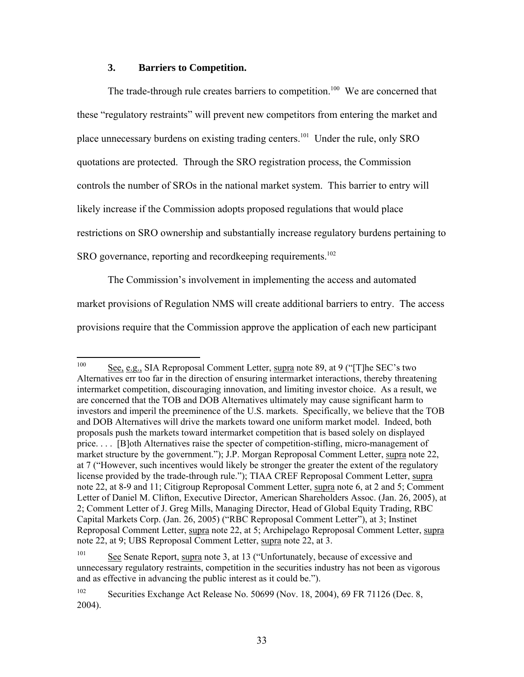### **3. Barriers to Competition.**

The trade-through rule creates barriers to competition.<sup>100</sup> We are concerned that these "regulatory restraints" will prevent new competitors from entering the market and place unnecessary burdens on existing trading centers.[101](#page-32-1) Under the rule, only SRO quotations are protected. Through the SRO registration process, the Commission controls the number of SROs in the national market system. This barrier to entry will likely increase if the Commission adopts proposed regulations that would place restrictions on SRO ownership and substantially increase regulatory burdens pertaining to SRO governance, reporting and recordkeeping requirements.<sup>[102](#page-32-2)</sup>

The Commission's involvement in implementing the access and automated market provisions of Regulation NMS will create additional barriers to entry. The access provisions require that the Commission approve the application of each new participant

<span id="page-32-0"></span><sup>100</sup> See, e.g., SIA Reproposal Comment Letter, supra note 89, at 9 ("[T]he SEC's two Alternatives err too far in the direction of ensuring intermarket interactions, thereby threatening intermarket competition, discouraging innovation, and limiting investor choice. As a result, we are concerned that the TOB and DOB Alternatives ultimately may cause significant harm to investors and imperil the preeminence of the U.S. markets. Specifically, we believe that the TOB and DOB Alternatives will drive the markets toward one uniform market model. Indeed, both proposals push the markets toward intermarket competition that is based solely on displayed price. . . . [B]oth Alternatives raise the specter of competition-stifling, micro-management of market structure by the government."); J.P. Morgan Reproposal Comment Letter, supra note 22, at 7 ("However, such incentives would likely be stronger the greater the extent of the regulatory license provided by the trade-through rule."); TIAA CREF Reproposal Comment Letter, supra note 22, at 8-9 and 11; Citigroup Reproposal Comment Letter, supra note 6, at 2 and 5; Comment Letter of Daniel M. Clifton, Executive Director, American Shareholders Assoc. (Jan. 26, 2005), at 2; Comment Letter of J. Greg Mills, Managing Director, Head of Global Equity Trading, RBC Capital Markets Corp. (Jan. 26, 2005) ("RBC Reproposal Comment Letter"), at 3; Instinet Reproposal Comment Letter, supra note 22, at 5; Archipelago Reproposal Comment Letter, supra note 22, at 9; UBS Reproposal Comment Letter, supra note 22, at 3.

<span id="page-32-1"></span><sup>101</sup> See Senate Report, supra note 3, at 13 ("Unfortunately, because of excessive and unnecessary regulatory restraints, competition in the securities industry has not been as vigorous and as effective in advancing the public interest as it could be.").

<span id="page-32-2"></span><sup>&</sup>lt;sup>102</sup> Securities Exchange Act Release No. 50699 (Nov. 18, 2004), 69 FR 71126 (Dec. 8, 2004).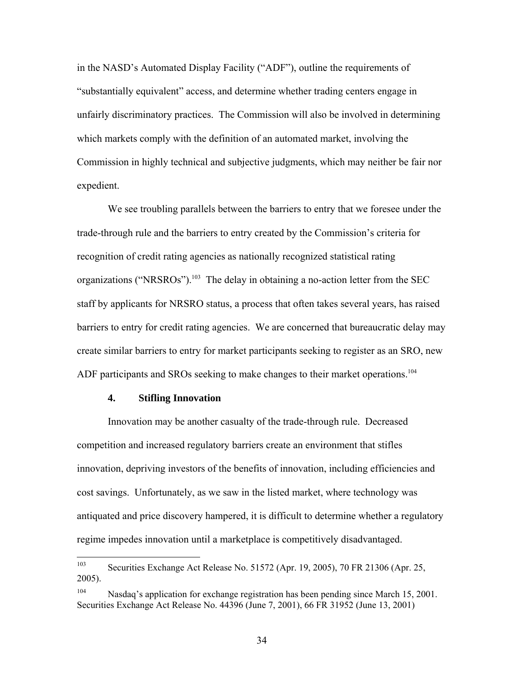in the NASD's Automated Display Facility ("ADF"), outline the requirements of "substantially equivalent" access, and determine whether trading centers engage in unfairly discriminatory practices. The Commission will also be involved in determining which markets comply with the definition of an automated market, involving the Commission in highly technical and subjective judgments, which may neither be fair nor expedient.

We see troubling parallels between the barriers to entry that we foresee under the trade-through rule and the barriers to entry created by the Commission's criteria for recognition of credit rating agencies as nationally recognized statistical rating organizations ("NRSROs").<sup>103</sup> The delay in obtaining a no-action letter from the SEC staff by applicants for NRSRO status, a process that often takes several years, has raised barriers to entry for credit rating agencies. We are concerned that bureaucratic delay may create similar barriers to entry for market participants seeking to register as an SRO, new ADF participants and SROs seeking to make changes to their market operations.<sup>104</sup>

#### **4. Stifling Innovation**

Innovation may be another casualty of the trade-through rule. Decreased competition and increased regulatory barriers create an environment that stifles innovation, depriving investors of the benefits of innovation, including efficiencies and cost savings. Unfortunately, as we saw in the listed market, where technology was antiquated and price discovery hampered, it is difficult to determine whether a regulatory regime impedes innovation until a marketplace is competitively disadvantaged.

<span id="page-33-0"></span><sup>103</sup> Securities Exchange Act Release No. 51572 (Apr. 19, 2005), 70 FR 21306 (Apr. 25, 2005).

<span id="page-33-1"></span><sup>&</sup>lt;sup>104</sup> Nasdaq's application for exchange registration has been pending since March 15, 2001. Securities Exchange Act Release No. 44396 (June 7, 2001), 66 FR 31952 (June 13, 2001)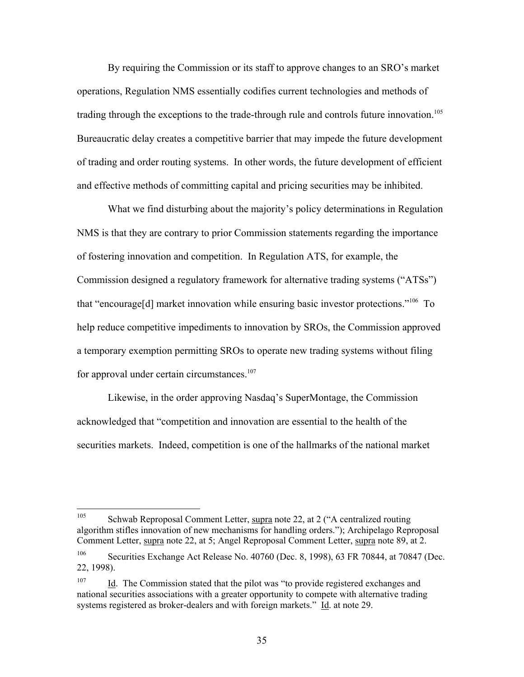By requiring the Commission or its staff to approve changes to an SRO's market operations, Regulation NMS essentially codifies current technologies and methods of trading through the exceptions to the trade-through rule and controls future innovation.<sup>105</sup> Bureaucratic delay creates a competitive barrier that may impede the future development of trading and order routing systems. In other words, the future development of efficient and effective methods of committing capital and pricing securities may be inhibited.

What we find disturbing about the majority's policy determinations in Regulation NMS is that they are contrary to prior Commission statements regarding the importance of fostering innovation and competition. In Regulation ATS, for example, the Commission designed a regulatory framework for alternative trading systems ("ATSs") that "encourage[d] market innovation while ensuring basic investor protections."[106](#page-34-1) To help reduce competitive impediments to innovation by SROs, the Commission approved a temporary exemption permitting SROs to operate new trading systems without filing for approval under certain circumstances.<sup>107</sup>

Likewise, in the order approving Nasdaq's SuperMontage, the Commission acknowledged that "competition and innovation are essential to the health of the securities markets. Indeed, competition is one of the hallmarks of the national market

<span id="page-34-0"></span><sup>105</sup> 105 Schwab Reproposal Comment Letter, supra note 22, at 2 ("A centralized routing algorithm stifles innovation of new mechanisms for handling orders."); Archipelago Reproposal Comment Letter, supra note 22, at 5; Angel Reproposal Comment Letter, supra note 89, at 2.

<span id="page-34-1"></span><sup>&</sup>lt;sup>106</sup> Securities Exchange Act Release No. 40760 (Dec. 8, 1998), 63 FR 70844, at 70847 (Dec. 22, 1998).

<span id="page-34-2"></span><sup>&</sup>lt;sup>107</sup> Id. The Commission stated that the pilot was "to provide registered exchanges and national securities associations with a greater opportunity to compete with alternative trading systems registered as broker-dealers and with foreign markets." Id. at note 29.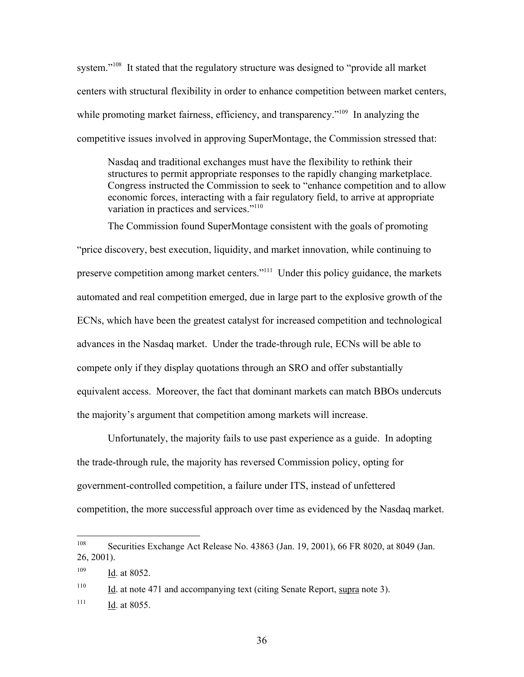system."<sup>108</sup> It stated that the regulatory structure was designed to "provide all market" centers with structural flexibility in order to enhance competition between market centers, while promoting market fairness, efficiency, and transparency."<sup>109</sup> In analyzing the competitive issues involved in approving SuperMontage, the Commission stressed that:

Nasdaq and traditional exchanges must have the flexibility to rethink their structures to permit appropriate responses to the rapidly changing marketplace. Congress instructed the Commission to seek to "enhance competition and to allow economic forces, interacting with a fair regulatory field, to arrive at appropriate variation in practices and services."[110](#page-35-2)

The Commission found SuperMontage consistent with the goals of promoting "price discovery, best execution, liquidity, and market innovation, while continuing to preserve competition among market centers.["111](#page-35-3) Under this policy guidance, the markets automated and real competition emerged, due in large part to the explosive growth of the ECNs, which have been the greatest catalyst for increased competition and technological advances in the Nasdaq market. Under the trade-through rule, ECNs will be able to compete only if they display quotations through an SRO and offer substantially equivalent access. Moreover, the fact that dominant markets can match BBOs undercuts the majority's argument that competition among markets will increase.

Unfortunately, the majority fails to use past experience as a guide. In adopting the trade-through rule, the majority has reversed Commission policy, opting for government-controlled competition, a failure under ITS, instead of unfettered competition, the more successful approach over time as evidenced by the Nasdaq market.

<span id="page-35-3"></span><span id="page-35-2"></span><sup>110</sup> Id. at note 471 and accompanying text (citing Senate Report, supra note 3).  $111$  Id. at 8055.

<span id="page-35-0"></span><sup>108</sup> 108 Securities Exchange Act Release No. 43863 (Jan. 19, 2001), 66 FR 8020, at 8049 (Jan. 26, 2001).

<span id="page-35-1"></span> $109$  Id. at 8052.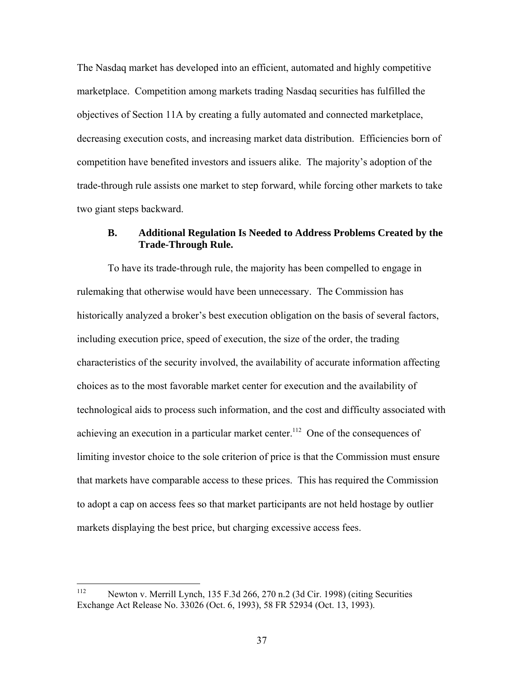The Nasdaq market has developed into an efficient, automated and highly competitive marketplace. Competition among markets trading Nasdaq securities has fulfilled the objectives of Section 11A by creating a fully automated and connected marketplace, decreasing execution costs, and increasing market data distribution. Efficiencies born of competition have benefited investors and issuers alike. The majority's adoption of the trade-through rule assists one market to step forward, while forcing other markets to take two giant steps backward.

### **B. Additional Regulation Is Needed to Address Problems Created by the Trade-Through Rule.**

To have its trade-through rule, the majority has been compelled to engage in rulemaking that otherwise would have been unnecessary. The Commission has historically analyzed a broker's best execution obligation on the basis of several factors, including execution price, speed of execution, the size of the order, the trading characteristics of the security involved, the availability of accurate information affecting choices as to the most favorable market center for execution and the availability of technological aids to process such information, and the cost and difficulty associated with achieving an execution in a particular market center.<sup>112</sup> One of the consequences of limiting investor choice to the sole criterion of price is that the Commission must ensure that markets have comparable access to these prices. This has required the Commission to adopt a cap on access fees so that market participants are not held hostage by outlier markets displaying the best price, but charging excessive access fees.

<span id="page-36-0"></span><sup>112</sup> 112 Newton v. Merrill Lynch, 135 F.3d 266, 270 n.2 (3d Cir. 1998) (citing Securities Exchange Act Release No. 33026 (Oct. 6, 1993), 58 FR 52934 (Oct. 13, 1993).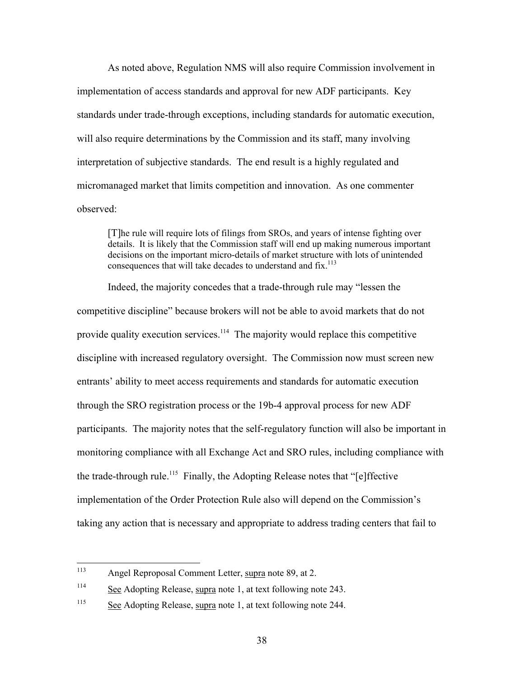As noted above, Regulation NMS will also require Commission involvement in implementation of access standards and approval for new ADF participants. Key standards under trade-through exceptions, including standards for automatic execution, will also require determinations by the Commission and its staff, many involving interpretation of subjective standards. The end result is a highly regulated and micromanaged market that limits competition and innovation. As one commenter observed:

[T]he rule will require lots of filings from SROs, and years of intense fighting over details. It is likely that the Commission staff will end up making numerous important decisions on the important micro-details of market structure with lots of unintended consequences that will take decades to understand and fix.<sup>[113](#page-37-0)</sup>

Indeed, the majority concedes that a trade-through rule may "lessen the competitive discipline" because brokers will not be able to avoid markets that do not provide quality execution services.<sup>114</sup> The majority would replace this competitive discipline with increased regulatory oversight. The Commission now must screen new entrants' ability to meet access requirements and standards for automatic execution through the SRO registration process or the 19b-4 approval process for new ADF participants. The majority notes that the self-regulatory function will also be important in monitoring compliance with all Exchange Act and SRO rules, including compliance with the trade-through rule.<sup>115</sup> Finally, the Adopting Release notes that "[e]ffective implementation of the Order Protection Rule also will depend on the Commission's taking any action that is necessary and appropriate to address trading centers that fail to

<span id="page-37-0"></span><sup>113</sup> Angel Reproposal Comment Letter, supra note 89, at 2.

<span id="page-37-1"></span><sup>&</sup>lt;sup>114</sup> See Adopting Release, supra note 1, at text following note 243.

<span id="page-37-2"></span> $\frac{\text{See}}{\text{See}}$  Adopting Release, supra note 1, at text following note 244.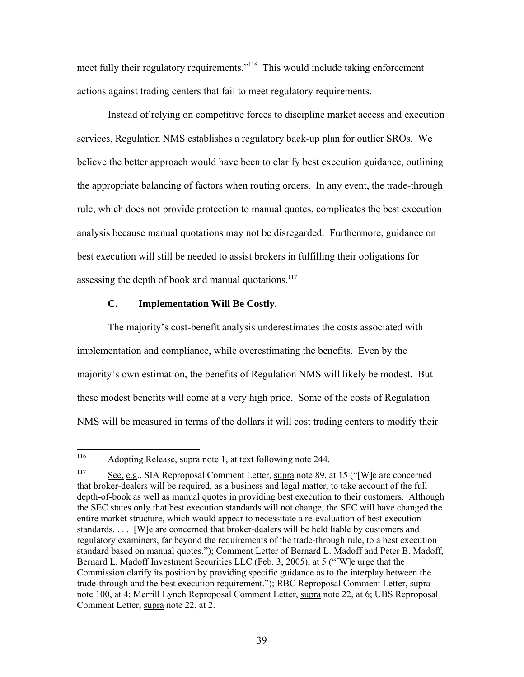meet fully their regulatory requirements.["116](#page-38-0) This would include taking enforcement actions against trading centers that fail to meet regulatory requirements.

Instead of relying on competitive forces to discipline market access and execution services, Regulation NMS establishes a regulatory back-up plan for outlier SROs. We believe the better approach would have been to clarify best execution guidance, outlining the appropriate balancing of factors when routing orders. In any event, the trade-through rule, which does not provide protection to manual quotes, complicates the best execution analysis because manual quotations may not be disregarded. Furthermore, guidance on best execution will still be needed to assist brokers in fulfilling their obligations for assessing the depth of book and manual quotations. $117$ 

#### **C. Implementation Will Be Costly.**

The majority's cost-benefit analysis underestimates the costs associated with implementation and compliance, while overestimating the benefits. Even by the majority's own estimation, the benefits of Regulation NMS will likely be modest. But these modest benefits will come at a very high price. Some of the costs of Regulation NMS will be measured in terms of the dollars it will cost trading centers to modify their

<span id="page-38-0"></span><sup>116</sup> Adopting Release, supra note 1, at text following note 244.

<span id="page-38-1"></span><sup>&</sup>lt;sup>117</sup> See, e.g., SIA Reproposal Comment Letter, supra note 89, at 15 ("[W] e are concerned that broker-dealers will be required, as a business and legal matter, to take account of the full depth-of-book as well as manual quotes in providing best execution to their customers. Although the SEC states only that best execution standards will not change, the SEC will have changed the entire market structure, which would appear to necessitate a re-evaluation of best execution standards. . . . [W]e are concerned that broker-dealers will be held liable by customers and regulatory examiners, far beyond the requirements of the trade-through rule, to a best execution standard based on manual quotes."); Comment Letter of Bernard L. Madoff and Peter B. Madoff, Bernard L. Madoff Investment Securities LLC (Feb. 3, 2005), at 5 ("[W]e urge that the Commission clarify its position by providing specific guidance as to the interplay between the trade-through and the best execution requirement."); RBC Reproposal Comment Letter, supra note 100, at 4; Merrill Lynch Reproposal Comment Letter, supra note 22, at 6; UBS Reproposal Comment Letter, supra note 22, at 2.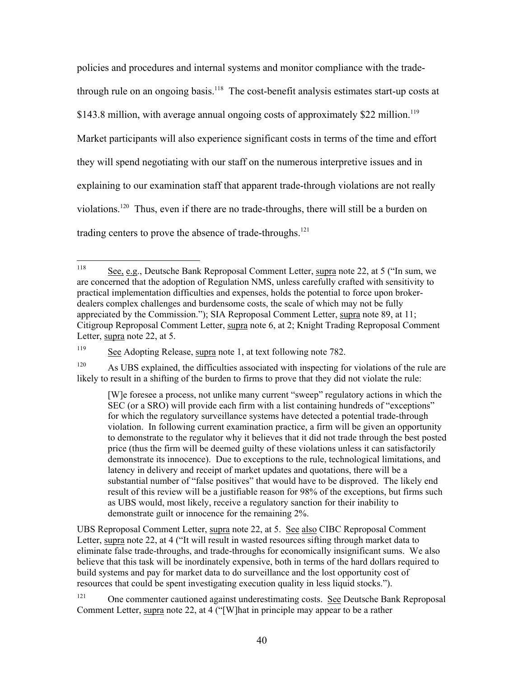policies and procedures and internal systems and monitor compliance with the tradethrough rule on an ongoing basis.<sup>118</sup> The cost-benefit analysis estimates start-up costs at \$143.8 million, with average annual ongoing costs of approximately \$22 million.<sup>119</sup> Market participants will also experience significant costs in terms of the time and effort they will spend negotiating with our staff on the numerous interpretive issues and in explaining to our examination staff that apparent trade-through violations are not really violations[.120](#page-39-2) Thus, even if there are no trade-throughs, there will still be a burden on trading centers to prove the absence of trade-throughs.<sup>121</sup>

UBS Reproposal Comment Letter, supra note 22, at 5. See also CIBC Reproposal Comment Letter, supra note 22, at 4 ("It will result in wasted resources sifting through market data to eliminate false trade-throughs, and trade-throughs for economically insignificant sums. We also believe that this task will be inordinately expensive, both in terms of the hard dollars required to build systems and pay for market data to do surveillance and the lost opportunity cost of resources that could be spent investigating execution quality in less liquid stocks.").

<span id="page-39-3"></span><sup>121</sup> One commenter cautioned against underestimating costs. See Deutsche Bank Reproposal Comment Letter, supra note 22, at 4 ("[W]hat in principle may appear to be a rather

<span id="page-39-0"></span><sup>118</sup> See, e.g., Deutsche Bank Reproposal Comment Letter, supra note 22, at 5 ("In sum, we are concerned that the adoption of Regulation NMS, unless carefully crafted with sensitivity to practical implementation difficulties and expenses, holds the potential to force upon brokerdealers complex challenges and burdensome costs, the scale of which may not be fully appreciated by the Commission."); SIA Reproposal Comment Letter, supra note 89, at 11; Citigroup Reproposal Comment Letter, supra note 6, at 2; Knight Trading Reproposal Comment Letter, supra note 22, at 5.

<span id="page-39-1"></span><sup>&</sup>lt;sup>119</sup> See Adopting Release, supra note 1, at text following note 782.

<span id="page-39-2"></span> $120$  As UBS explained, the difficulties associated with inspecting for violations of the rule are likely to result in a shifting of the burden to firms to prove that they did not violate the rule:

<sup>[</sup>W]e foresee a process, not unlike many current "sweep" regulatory actions in which the SEC (or a SRO) will provide each firm with a list containing hundreds of "exceptions" for which the regulatory surveillance systems have detected a potential trade-through violation. In following current examination practice, a firm will be given an opportunity to demonstrate to the regulator why it believes that it did not trade through the best posted price (thus the firm will be deemed guilty of these violations unless it can satisfactorily demonstrate its innocence). Due to exceptions to the rule, technological limitations, and latency in delivery and receipt of market updates and quotations, there will be a substantial number of "false positives" that would have to be disproved. The likely end result of this review will be a justifiable reason for 98% of the exceptions, but firms such as UBS would, most likely, receive a regulatory sanction for their inability to demonstrate guilt or innocence for the remaining 2%.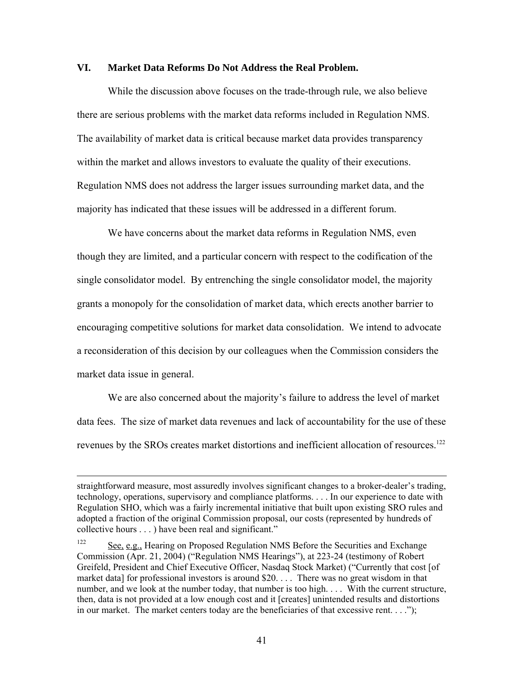### **VI. Market Data Reforms Do Not Address the Real Problem.**

While the discussion above focuses on the trade-through rule, we also believe there are serious problems with the market data reforms included in Regulation NMS. The availability of market data is critical because market data provides transparency within the market and allows investors to evaluate the quality of their executions. Regulation NMS does not address the larger issues surrounding market data, and the majority has indicated that these issues will be addressed in a different forum.

We have concerns about the market data reforms in Regulation NMS, even though they are limited, and a particular concern with respect to the codification of the single consolidator model. By entrenching the single consolidator model, the majority grants a monopoly for the consolidation of market data, which erects another barrier to encouraging competitive solutions for market data consolidation. We intend to advocate a reconsideration of this decision by our colleagues when the Commission considers the market data issue in general.

We are also concerned about the majority's failure to address the level of market data fees. The size of market data revenues and lack of accountability for the use of these revenues by the SROs creates market distortions and inefficient allocation of resources.<sup>122</sup>

<u>.</u>

straightforward measure, most assuredly involves significant changes to a broker-dealer's trading, technology, operations, supervisory and compliance platforms. . . . In our experience to date with Regulation SHO, which was a fairly incremental initiative that built upon existing SRO rules and adopted a fraction of the original Commission proposal, our costs (represented by hundreds of collective hours . . . ) have been real and significant."

<span id="page-40-0"></span><sup>122</sup> See, e.g., Hearing on Proposed Regulation NMS Before the Securities and Exchange Commission (Apr. 21, 2004) ("Regulation NMS Hearings"), at 223-24 (testimony of Robert Greifeld, President and Chief Executive Officer, Nasdaq Stock Market) ("Currently that cost [of market data] for professional investors is around \$20. . . . There was no great wisdom in that number, and we look at the number today, that number is too high. . . . With the current structure, then, data is not provided at a low enough cost and it [creates] unintended results and distortions in our market. The market centers today are the beneficiaries of that excessive rent. . . .");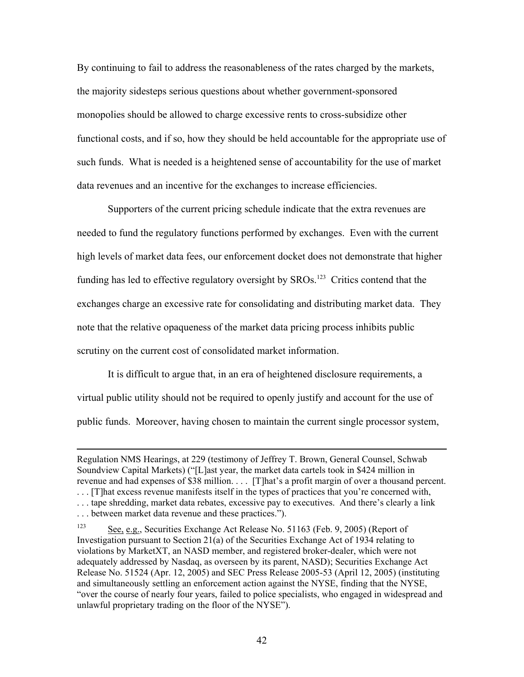By continuing to fail to address the reasonableness of the rates charged by the markets, the majority sidesteps serious questions about whether government-sponsored monopolies should be allowed to charge excessive rents to cross-subsidize other functional costs, and if so, how they should be held accountable for the appropriate use of such funds. What is needed is a heightened sense of accountability for the use of market data revenues and an incentive for the exchanges to increase efficiencies.

Supporters of the current pricing schedule indicate that the extra revenues are needed to fund the regulatory functions performed by exchanges. Even with the current high levels of market data fees, our enforcement docket does not demonstrate that higher funding has led to effective regulatory oversight by SROs.<sup>123</sup> Critics contend that the exchanges charge an excessive rate for consolidating and distributing market data. They note that the relative opaqueness of the market data pricing process inhibits public scrutiny on the current cost of consolidated market information.

It is difficult to argue that, in an era of heightened disclosure requirements, a virtual public utility should not be required to openly justify and account for the use of public funds. Moreover, having chosen to maintain the current single processor system,

 $\overline{a}$ 

Regulation NMS Hearings, at 229 (testimony of Jeffrey T. Brown, General Counsel, Schwab Soundview Capital Markets) ("[L]ast year, the market data cartels took in \$424 million in revenue and had expenses of \$38 million. . . . [T]hat's a profit margin of over a thousand percent. . . . [T]hat excess revenue manifests itself in the types of practices that you're concerned with, . . . tape shredding, market data rebates, excessive pay to executives. And there's clearly a link . . . between market data revenue and these practices.").

<span id="page-41-0"></span><sup>123</sup> See, e.g., Securities Exchange Act Release No. 51163 (Feb. 9, 2005) (Report of Investigation pursuant to Section 21(a) of the Securities Exchange Act of 1934 relating to violations by MarketXT, an NASD member, and registered broker-dealer, which were not adequately addressed by Nasdaq, as overseen by its parent, NASD); Securities Exchange Act Release No. 51524 (Apr. 12, 2005) and SEC Press Release 2005-53 (April 12, 2005) (instituting and simultaneously settling an enforcement action against the NYSE, finding that the NYSE, "over the course of nearly four years, failed to police specialists, who engaged in widespread and unlawful proprietary trading on the floor of the NYSE").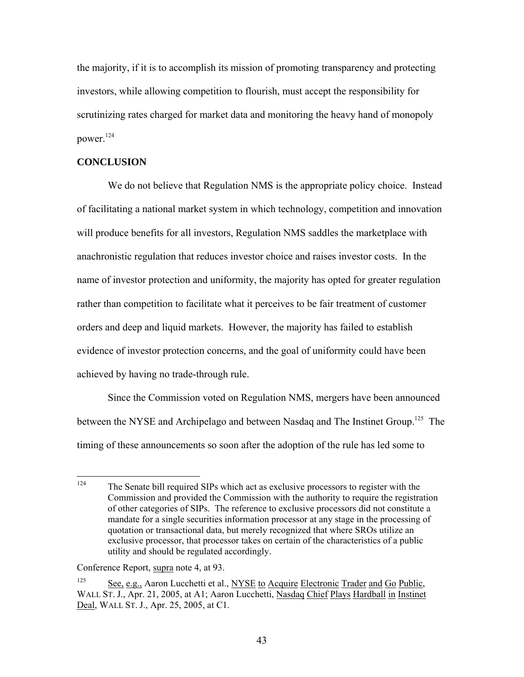the majority, if it is to accomplish its mission of promoting transparency and protecting investors, while allowing competition to flourish, must accept the responsibility for scrutinizing rates charged for market data and monitoring the heavy hand of monopoly power.[124](#page-42-0)

### **CONCLUSION**

We do not believe that Regulation NMS is the appropriate policy choice. Instead of facilitating a national market system in which technology, competition and innovation will produce benefits for all investors, Regulation NMS saddles the marketplace with anachronistic regulation that reduces investor choice and raises investor costs. In the name of investor protection and uniformity, the majority has opted for greater regulation rather than competition to facilitate what it perceives to be fair treatment of customer orders and deep and liquid markets. However, the majority has failed to establish evidence of investor protection concerns, and the goal of uniformity could have been achieved by having no trade-through rule.

Since the Commission voted on Regulation NMS, mergers have been announced between the NYSE and Archipelago and between Nasdaq and The Instinet Group.<sup>125</sup> The timing of these announcements so soon after the adoption of the rule has led some to

<span id="page-42-0"></span><sup>124</sup> The Senate bill required SIPs which act as exclusive processors to register with the Commission and provided the Commission with the authority to require the registration of other categories of SIPs. The reference to exclusive processors did not constitute a mandate for a single securities information processor at any stage in the processing of quotation or transactional data, but merely recognized that where SROs utilize an exclusive processor, that processor takes on certain of the characteristics of a public utility and should be regulated accordingly.

Conference Report, supra note 4, at 93.

<span id="page-42-1"></span><sup>&</sup>lt;sup>125</sup> See, e.g., Aaron Lucchetti et al., NYSE to Acquire Electronic Trader and Go Public, WALL ST. J., Apr. 21, 2005, at A1; Aaron Lucchetti, Nasdaq Chief Plays Hardball in Instinet Deal, WALL ST. J., Apr. 25, 2005, at C1.